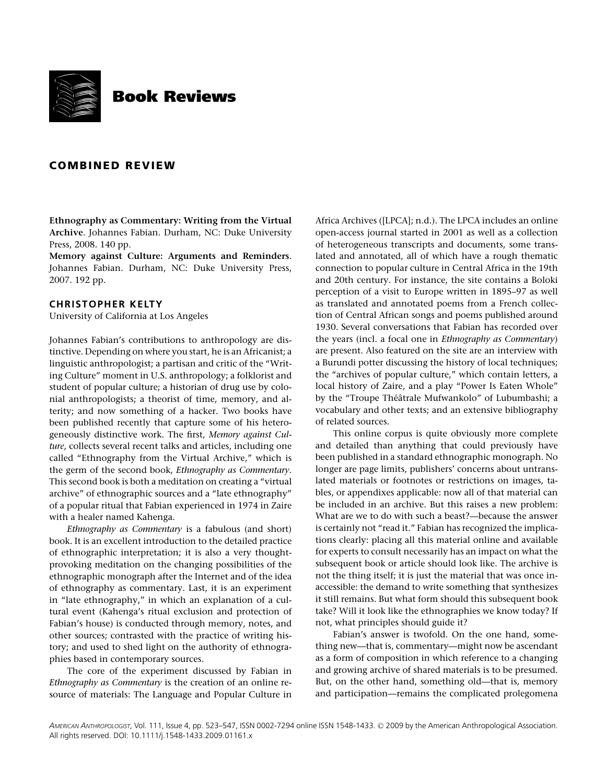

# COMBINED REVIEW

**Ethnography as Commentary: Writing from the Virtual Archive**. Johannes Fabian. Durham, NC: Duke University Press, 2008. 140 pp.

**Memory against Culture: Arguments and Reminders**. Johannes Fabian. Durham, NC: Duke University Press, 2007. 192 pp.

# **CHRISTOPHER KELTY**

University of California at Los Angeles

Johannes Fabian's contributions to anthropology are distinctive. Depending on where you start, he is an Africanist; a linguistic anthropologist; a partisan and critic of the "Writing Culture" moment in U.S. anthropology; a folklorist and student of popular culture; a historian of drug use by colonial anthropologists; a theorist of time, memory, and alterity; and now something of a hacker. Two books have been published recently that capture some of his heterogeneously distinctive work. The first, *Memory against Culture,* collects several recent talks and articles, including one called "Ethnography from the Virtual Archive," which is the germ of the second book, *Ethnography as Commentary.* This second book is both a meditation on creating a "virtual archive" of ethnographic sources and a "late ethnography" of a popular ritual that Fabian experienced in 1974 in Zaire with a healer named Kahenga.

*Ethnography as Commentary* is a fabulous (and short) book. It is an excellent introduction to the detailed practice of ethnographic interpretation; it is also a very thoughtprovoking meditation on the changing possibilities of the ethnographic monograph after the Internet and of the idea of ethnography as commentary. Last, it is an experiment in "late ethnography," in which an explanation of a cultural event (Kahenga's ritual exclusion and protection of Fabian's house) is conducted through memory, notes, and other sources; contrasted with the practice of writing history; and used to shed light on the authority of ethnographies based in contemporary sources.

The core of the experiment discussed by Fabian in *Ethnography as Commentary* is the creation of an online resource of materials: The Language and Popular Culture in Africa Archives ([LPCA]; n.d.). The LPCA includes an online open-access journal started in 2001 as well as a collection of heterogeneous transcripts and documents, some translated and annotated, all of which have a rough thematic connection to popular culture in Central Africa in the 19th and 20th century. For instance, the site contains a Boloki perception of a visit to Europe written in 1895–97 as well as translated and annotated poems from a French collection of Central African songs and poems published around 1930. Several conversations that Fabian has recorded over the years (incl. a focal one in *Ethnography as Commentary*) are present. Also featured on the site are an interview with a Burundi potter discussing the history of local techniques; the "archives of popular culture," which contain letters, a local history of Zaire, and a play "Power Is Eaten Whole" by the "Troupe Théâtrale Mufwankolo" of Lubumbashi; a vocabulary and other texts; and an extensive bibliography of related sources.

This online corpus is quite obviously more complete and detailed than anything that could previously have been published in a standard ethnographic monograph. No longer are page limits, publishers' concerns about untranslated materials or footnotes or restrictions on images, tables, or appendixes applicable: now all of that material can be included in an archive. But this raises a new problem: What are we to do with such a beast?—because the answer is certainly not "read it." Fabian has recognized the implications clearly: placing all this material online and available for experts to consult necessarily has an impact on what the subsequent book or article should look like. The archive is not the thing itself; it is just the material that was once inaccessible: the demand to write something that synthesizes it still remains. But what form should this subsequent book take? Will it look like the ethnographies we know today? If not, what principles should guide it?

Fabian's answer is twofold. On the one hand, something new—that is, commentary—might now be ascendant as a form of composition in which reference to a changing and growing archive of shared materials is to be presumed. But, on the other hand, something old—that is, memory and participation—remains the complicated prolegomena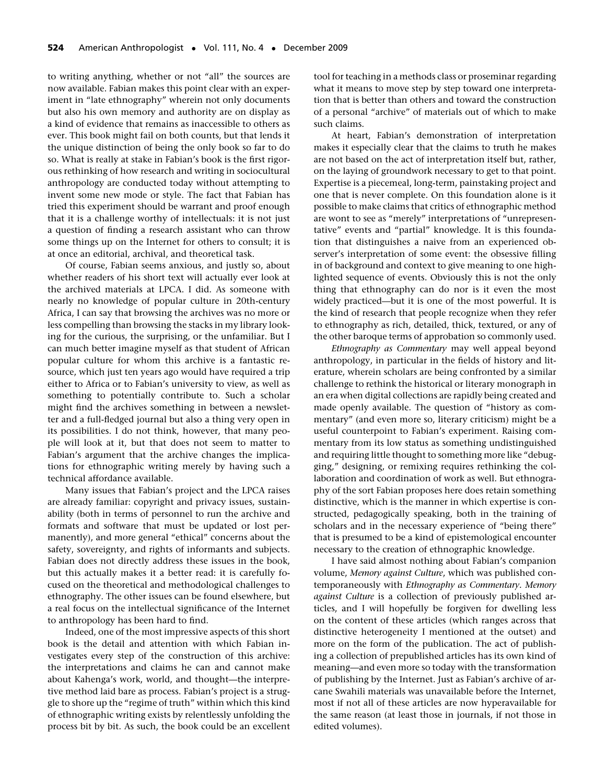to writing anything, whether or not "all" the sources are now available. Fabian makes this point clear with an experiment in "late ethnography" wherein not only documents but also his own memory and authority are on display as a kind of evidence that remains as inaccessible to others as ever. This book might fail on both counts, but that lends it the unique distinction of being the only book so far to do so. What is really at stake in Fabian's book is the first rigorous rethinking of how research and writing in sociocultural anthropology are conducted today without attempting to invent some new mode or style. The fact that Fabian has tried this experiment should be warrant and proof enough that it is a challenge worthy of intellectuals: it is not just a question of finding a research assistant who can throw some things up on the Internet for others to consult; it is at once an editorial, archival, and theoretical task.

Of course, Fabian seems anxious, and justly so, about whether readers of his short text will actually ever look at the archived materials at LPCA. I did. As someone with nearly no knowledge of popular culture in 20th-century Africa, I can say that browsing the archives was no more or less compelling than browsing the stacks in my library looking for the curious, the surprising, or the unfamiliar. But I can much better imagine myself as that student of African popular culture for whom this archive is a fantastic resource, which just ten years ago would have required a trip either to Africa or to Fabian's university to view, as well as something to potentially contribute to. Such a scholar might find the archives something in between a newsletter and a full-fledged journal but also a thing very open in its possibilities. I do not think, however, that many people will look at it, but that does not seem to matter to Fabian's argument that the archive changes the implications for ethnographic writing merely by having such a technical affordance available.

Many issues that Fabian's project and the LPCA raises are already familiar: copyright and privacy issues, sustainability (both in terms of personnel to run the archive and formats and software that must be updated or lost permanently), and more general "ethical" concerns about the safety, sovereignty, and rights of informants and subjects. Fabian does not directly address these issues in the book, but this actually makes it a better read: it is carefully focused on the theoretical and methodological challenges to ethnography. The other issues can be found elsewhere, but a real focus on the intellectual significance of the Internet to anthropology has been hard to find.

Indeed, one of the most impressive aspects of this short book is the detail and attention with which Fabian investigates every step of the construction of this archive: the interpretations and claims he can and cannot make about Kahenga's work, world, and thought—the interpretive method laid bare as process. Fabian's project is a struggle to shore up the "regime of truth" within which this kind of ethnographic writing exists by relentlessly unfolding the process bit by bit. As such, the book could be an excellent

tool for teaching in a methods class or proseminar regarding what it means to move step by step toward one interpretation that is better than others and toward the construction of a personal "archive" of materials out of which to make such claims.

At heart, Fabian's demonstration of interpretation makes it especially clear that the claims to truth he makes are not based on the act of interpretation itself but, rather, on the laying of groundwork necessary to get to that point. Expertise is a piecemeal, long-term, painstaking project and one that is never complete. On this foundation alone is it possible to make claims that critics of ethnographic method are wont to see as "merely" interpretations of "unrepresentative" events and "partial" knowledge. It is this foundation that distinguishes a naive from an experienced observer's interpretation of some event: the obsessive filling in of background and context to give meaning to one highlighted sequence of events. Obviously this is not the only thing that ethnography can do nor is it even the most widely practiced—but it is one of the most powerful. It is the kind of research that people recognize when they refer to ethnography as rich, detailed, thick, textured, or any of the other baroque terms of approbation so commonly used.

*Ethnography as Commentary* may well appeal beyond anthropology, in particular in the fields of history and literature, wherein scholars are being confronted by a similar challenge to rethink the historical or literary monograph in an era when digital collections are rapidly being created and made openly available. The question of "history as commentary" (and even more so, literary criticism) might be a useful counterpoint to Fabian's experiment. Raising commentary from its low status as something undistinguished and requiring little thought to something more like "debugging," designing, or remixing requires rethinking the collaboration and coordination of work as well. But ethnography of the sort Fabian proposes here does retain something distinctive, which is the manner in which expertise is constructed, pedagogically speaking, both in the training of scholars and in the necessary experience of "being there" that is presumed to be a kind of epistemological encounter necessary to the creation of ethnographic knowledge.

I have said almost nothing about Fabian's companion volume, *Memory against Culture*, which was published contemporaneously with *Ethnography as Commentary. Memory against Culture* is a collection of previously published articles, and I will hopefully be forgiven for dwelling less on the content of these articles (which ranges across that distinctive heterogeneity I mentioned at the outset) and more on the form of the publication. The act of publishing a collection of prepublished articles has its own kind of meaning—and even more so today with the transformation of publishing by the Internet. Just as Fabian's archive of arcane Swahili materials was unavailable before the Internet, most if not all of these articles are now hyperavailable for the same reason (at least those in journals, if not those in edited volumes).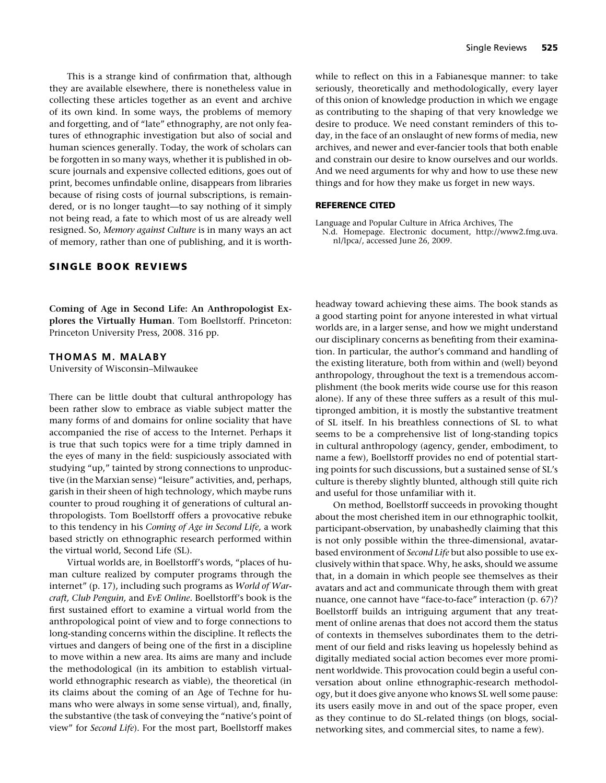This is a strange kind of confirmation that, although they are available elsewhere, there is nonetheless value in collecting these articles together as an event and archive of its own kind. In some ways, the problems of memory and forgetting, and of "late" ethnography, are not only features of ethnographic investigation but also of social and human sciences generally. Today, the work of scholars can be forgotten in so many ways, whether it is published in obscure journals and expensive collected editions, goes out of print, becomes unfindable online, disappears from libraries because of rising costs of journal subscriptions, is remaindered, or is no longer taught—to say nothing of it simply not being read, a fate to which most of us are already well resigned. So, *Memory against Culture* is in many ways an act of memory, rather than one of publishing, and it is worth-

# SINGLE BOOK REVIEWS

**Coming of Age in Second Life: An Anthropologist Explores the Virtually Human**. Tom Boellstorff. Princeton: Princeton University Press, 2008. 316 pp.

#### **THOMAS M. MALABY**

University of Wisconsin–Milwaukee

There can be little doubt that cultural anthropology has been rather slow to embrace as viable subject matter the many forms of and domains for online sociality that have accompanied the rise of access to the Internet. Perhaps it is true that such topics were for a time triply damned in the eyes of many in the field: suspiciously associated with studying "up," tainted by strong connections to unproductive (in the Marxian sense) "leisure" activities, and, perhaps, garish in their sheen of high technology, which maybe runs counter to proud roughing it of generations of cultural anthropologists. Tom Boellstorff offers a provocative rebuke to this tendency in his *Coming of Age in Second Life,* a work based strictly on ethnographic research performed within the virtual world, Second Life (SL).

Virtual worlds are, in Boellstorff's words, "places of human culture realized by computer programs through the internet" (p. 17), including such programs as *World of Warcraft, Club Penguin,* and *EvE Online.* Boellstorff's book is the first sustained effort to examine a virtual world from the anthropological point of view and to forge connections to long-standing concerns within the discipline. It reflects the virtues and dangers of being one of the first in a discipline to move within a new area. Its aims are many and include the methodological (in its ambition to establish virtualworld ethnographic research as viable), the theoretical (in its claims about the coming of an Age of Techne for humans who were always in some sense virtual), and, finally, the substantive (the task of conveying the "native's point of view" for *Second Life*). For the most part, Boellstorff makes

while to reflect on this in a Fabianesque manner: to take seriously, theoretically and methodologically, every layer of this onion of knowledge production in which we engage as contributing to the shaping of that very knowledge we desire to produce. We need constant reminders of this today, in the face of an onslaught of new forms of media, new archives, and newer and ever-fancier tools that both enable and constrain our desire to know ourselves and our worlds. And we need arguments for why and how to use these new things and for how they make us forget in new ways.

#### REFERENCE CITED

Language and Popular Culture in Africa Archives, The

N.d. Homepage. Electronic document, http://www2.fmg.uva. nl/lpca/, accessed June 26, 2009.

headway toward achieving these aims. The book stands as a good starting point for anyone interested in what virtual worlds are, in a larger sense, and how we might understand our disciplinary concerns as benefiting from their examination. In particular, the author's command and handling of the existing literature, both from within and (well) beyond anthropology, throughout the text is a tremendous accomplishment (the book merits wide course use for this reason alone). If any of these three suffers as a result of this multipronged ambition, it is mostly the substantive treatment of SL itself. In his breathless connections of SL to what seems to be a comprehensive list of long-standing topics in cultural anthropology (agency, gender, embodiment, to name a few), Boellstorff provides no end of potential starting points for such discussions, but a sustained sense of SL's culture is thereby slightly blunted, although still quite rich and useful for those unfamiliar with it.

On method, Boellstorff succeeds in provoking thought about the most cherished item in our ethnographic toolkit, participant-observation, by unabashedly claiming that this is not only possible within the three-dimensional, avatarbased environment of *Second Life* but also possible to use exclusively within that space. Why, he asks, should we assume that, in a domain in which people see themselves as their avatars and act and communicate through them with great nuance, one cannot have "face-to-face" interaction (p. 67)? Boellstorff builds an intriguing argument that any treatment of online arenas that does not accord them the status of contexts in themselves subordinates them to the detriment of our field and risks leaving us hopelessly behind as digitally mediated social action becomes ever more prominent worldwide. This provocation could begin a useful conversation about online ethnographic-research methodology, but it does give anyone who knows SL well some pause: its users easily move in and out of the space proper, even as they continue to do SL-related things (on blogs, socialnetworking sites, and commercial sites, to name a few).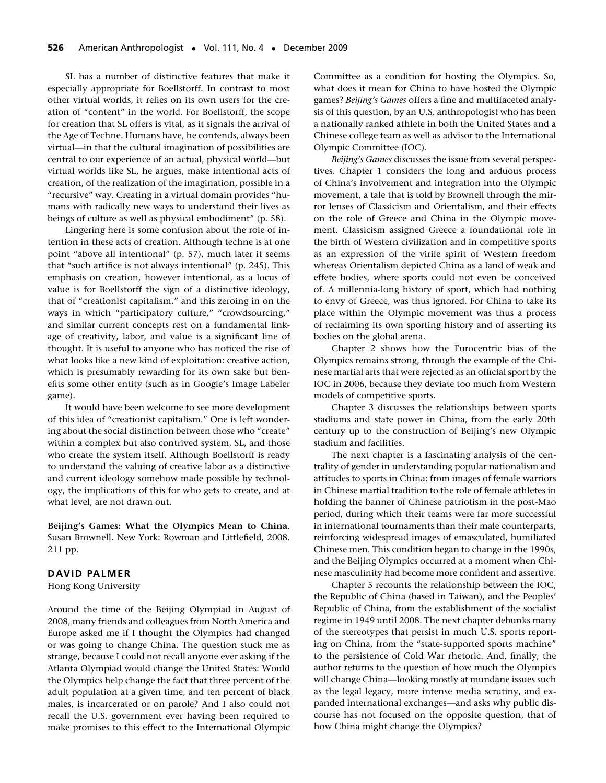SL has a number of distinctive features that make it especially appropriate for Boellstorff. In contrast to most other virtual worlds, it relies on its own users for the creation of "content" in the world. For Boellstorff, the scope for creation that SL offers is vital, as it signals the arrival of the Age of Techne. Humans have, he contends, always been virtual—in that the cultural imagination of possibilities are central to our experience of an actual, physical world—but virtual worlds like SL, he argues, make intentional acts of creation, of the realization of the imagination, possible in a "recursive" way. Creating in a virtual domain provides "humans with radically new ways to understand their lives as beings of culture as well as physical embodiment" (p. 58).

Lingering here is some confusion about the role of intention in these acts of creation. Although techne is at one point "above all intentional" (p. 57), much later it seems that "such artifice is not always intentional" (p. 245). This emphasis on creation, however intentional, as a locus of value is for Boellstorff the sign of a distinctive ideology, that of "creationist capitalism," and this zeroing in on the ways in which "participatory culture," "crowdsourcing," and similar current concepts rest on a fundamental linkage of creativity, labor, and value is a significant line of thought. It is useful to anyone who has noticed the rise of what looks like a new kind of exploitation: creative action, which is presumably rewarding for its own sake but benefits some other entity (such as in Google's Image Labeler game).

It would have been welcome to see more development of this idea of "creationist capitalism." One is left wondering about the social distinction between those who "create" within a complex but also contrived system, SL, and those who create the system itself. Although Boellstorff is ready to understand the valuing of creative labor as a distinctive and current ideology somehow made possible by technology, the implications of this for who gets to create, and at what level, are not drawn out.

**Beijing's Games: What the Olympics Mean to China**. Susan Brownell. New York: Rowman and Littlefield, 2008. 211 pp.

## **DAVID PALMER**

Hong Kong University

Around the time of the Beijing Olympiad in August of 2008, many friends and colleagues from North America and Europe asked me if I thought the Olympics had changed or was going to change China. The question stuck me as strange, because I could not recall anyone ever asking if the Atlanta Olympiad would change the United States: Would the Olympics help change the fact that three percent of the adult population at a given time, and ten percent of black males, is incarcerated or on parole? And I also could not recall the U.S. government ever having been required to make promises to this effect to the International Olympic

Committee as a condition for hosting the Olympics. So, what does it mean for China to have hosted the Olympic games? *Beijing's Games* offers a fine and multifaceted analysis of this question, by an U.S. anthropologist who has been a nationally ranked athlete in both the United States and a Chinese college team as well as advisor to the International Olympic Committee (IOC).

*Beijing's Games* discusses the issue from several perspectives. Chapter 1 considers the long and arduous process of China's involvement and integration into the Olympic movement, a tale that is told by Brownell through the mirror lenses of Classicism and Orientalism, and their effects on the role of Greece and China in the Olympic movement. Classicism assigned Greece a foundational role in the birth of Western civilization and in competitive sports as an expression of the virile spirit of Western freedom whereas Orientalism depicted China as a land of weak and effete bodies, where sports could not even be conceived of. A millennia-long history of sport, which had nothing to envy of Greece, was thus ignored. For China to take its place within the Olympic movement was thus a process of reclaiming its own sporting history and of asserting its bodies on the global arena.

Chapter 2 shows how the Eurocentric bias of the Olympics remains strong, through the example of the Chinese martial arts that were rejected as an official sport by the IOC in 2006, because they deviate too much from Western models of competitive sports.

Chapter 3 discusses the relationships between sports stadiums and state power in China, from the early 20th century up to the construction of Beijing's new Olympic stadium and facilities.

The next chapter is a fascinating analysis of the centrality of gender in understanding popular nationalism and attitudes to sports in China: from images of female warriors in Chinese martial tradition to the role of female athletes in holding the banner of Chinese patriotism in the post-Mao period, during which their teams were far more successful in international tournaments than their male counterparts, reinforcing widespread images of emasculated, humiliated Chinese men. This condition began to change in the 1990s, and the Beijing Olympics occurred at a moment when Chinese masculinity had become more confident and assertive.

Chapter 5 recounts the relationship between the IOC, the Republic of China (based in Taiwan), and the Peoples' Republic of China, from the establishment of the socialist regime in 1949 until 2008. The next chapter debunks many of the stereotypes that persist in much U.S. sports reporting on China, from the "state-supported sports machine" to the persistence of Cold War rhetoric. And, finally, the author returns to the question of how much the Olympics will change China—looking mostly at mundane issues such as the legal legacy, more intense media scrutiny, and expanded international exchanges—and asks why public discourse has not focused on the opposite question, that of how China might change the Olympics?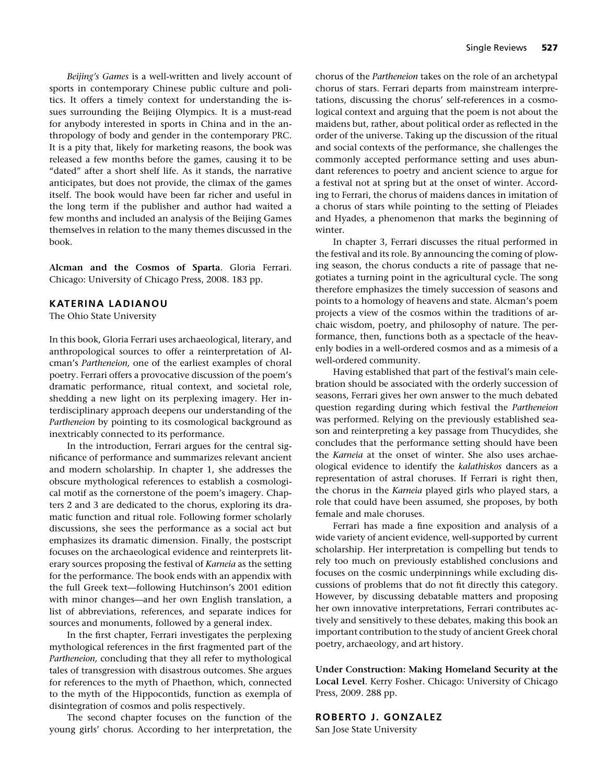*Beijing's Games* is a well-written and lively account of sports in contemporary Chinese public culture and politics. It offers a timely context for understanding the issues surrounding the Beijing Olympics. It is a must-read for anybody interested in sports in China and in the anthropology of body and gender in the contemporary PRC. It is a pity that, likely for marketing reasons, the book was released a few months before the games, causing it to be "dated" after a short shelf life. As it stands, the narrative anticipates, but does not provide, the climax of the games itself. The book would have been far richer and useful in the long term if the publisher and author had waited a few months and included an analysis of the Beijing Games themselves in relation to the many themes discussed in the book.

**Alcman and the Cosmos of Sparta**. Gloria Ferrari. Chicago: University of Chicago Press, 2008. 183 pp.

# **KATERINA LADIANOU**

The Ohio State University

In this book, Gloria Ferrari uses archaeological, literary, and anthropological sources to offer a reinterpretation of Alcman's *Partheneion,* one of the earliest examples of choral poetry. Ferrari offers a provocative discussion of the poem's dramatic performance, ritual context, and societal role, shedding a new light on its perplexing imagery. Her interdisciplinary approach deepens our understanding of the *Partheneion* by pointing to its cosmological background as inextricably connected to its performance.

In the introduction, Ferrari argues for the central significance of performance and summarizes relevant ancient and modern scholarship. In chapter 1, she addresses the obscure mythological references to establish a cosmological motif as the cornerstone of the poem's imagery. Chapters 2 and 3 are dedicated to the chorus, exploring its dramatic function and ritual role. Following former scholarly discussions, she sees the performance as a social act but emphasizes its dramatic dimension. Finally, the postscript focuses on the archaeological evidence and reinterprets literary sources proposing the festival of *Karneia* as the setting for the performance. The book ends with an appendix with the full Greek text—following Hutchinson's 2001 edition with minor changes—and her own English translation, a list of abbreviations, references, and separate indices for sources and monuments, followed by a general index.

In the first chapter, Ferrari investigates the perplexing mythological references in the first fragmented part of the *Partheneion,* concluding that they all refer to mythological tales of transgression with disastrous outcomes. She argues for references to the myth of Phaethon, which, connected to the myth of the Hippocontids, function as exempla of disintegration of cosmos and polis respectively.

The second chapter focuses on the function of the young girls' chorus. According to her interpretation, the chorus of the *Partheneion* takes on the role of an archetypal chorus of stars. Ferrari departs from mainstream interpretations, discussing the chorus' self-references in a cosmological context and arguing that the poem is not about the maidens but, rather, about political order as reflected in the order of the universe. Taking up the discussion of the ritual and social contexts of the performance, she challenges the commonly accepted performance setting and uses abundant references to poetry and ancient science to argue for a festival not at spring but at the onset of winter. According to Ferrari, the chorus of maidens dances in imitation of a chorus of stars while pointing to the setting of Pleiades and Hyades, a phenomenon that marks the beginning of winter.

In chapter 3, Ferrari discusses the ritual performed in the festival and its role. By announcing the coming of plowing season, the chorus conducts a rite of passage that negotiates a turning point in the agricultural cycle. The song therefore emphasizes the timely succession of seasons and points to a homology of heavens and state. Alcman's poem projects a view of the cosmos within the traditions of archaic wisdom, poetry, and philosophy of nature. The performance, then, functions both as a spectacle of the heavenly bodies in a well-ordered cosmos and as a mimesis of a well-ordered community.

Having established that part of the festival's main celebration should be associated with the orderly succession of seasons, Ferrari gives her own answer to the much debated question regarding during which festival the *Partheneion* was performed. Relying on the previously established season and reinterpreting a key passage from Thucydides, she concludes that the performance setting should have been the *Karneia* at the onset of winter. She also uses archaeological evidence to identify the *kalathiskos* dancers as a representation of astral choruses. If Ferrari is right then, the chorus in the *Karneia* played girls who played stars, a role that could have been assumed, she proposes, by both female and male choruses.

Ferrari has made a fine exposition and analysis of a wide variety of ancient evidence, well-supported by current scholarship. Her interpretation is compelling but tends to rely too much on previously established conclusions and focuses on the cosmic underpinnings while excluding discussions of problems that do not fit directly this category. However, by discussing debatable matters and proposing her own innovative interpretations, Ferrari contributes actively and sensitively to these debates, making this book an important contribution to the study of ancient Greek choral poetry, archaeology, and art history.

**Under Construction: Making Homeland Security at the Local Level**. Kerry Fosher. Chicago: University of Chicago Press, 2009. 288 pp.

**ROBERTO J. GONZALEZ** San Jose State University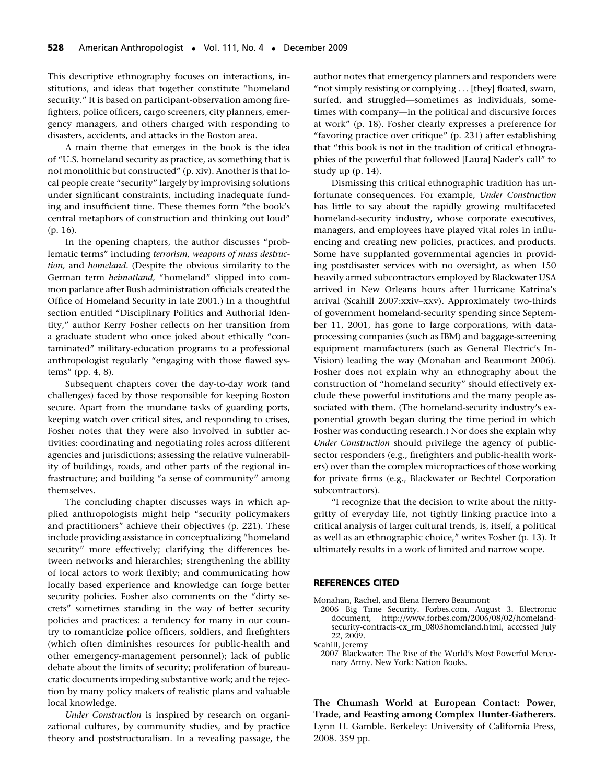This descriptive ethnography focuses on interactions, institutions, and ideas that together constitute "homeland security." It is based on participant-observation among firefighters, police officers, cargo screeners, city planners, emergency managers, and others charged with responding to disasters, accidents, and attacks in the Boston area.

A main theme that emerges in the book is the idea of "U.S. homeland security as practice, as something that is not monolithic but constructed" (p. xiv). Another is that local people create "security" largely by improvising solutions under significant constraints, including inadequate funding and insufficient time. These themes form "the book's central metaphors of construction and thinking out loud" (p. 16).

In the opening chapters, the author discusses "problematic terms" including *terrorism, weapons of mass destruction,* and *homeland.* (Despite the obvious similarity to the German term *heimatland,* "homeland" slipped into common parlance after Bush administration officials created the Office of Homeland Security in late 2001.) In a thoughtful section entitled "Disciplinary Politics and Authorial Identity," author Kerry Fosher reflects on her transition from a graduate student who once joked about ethically "contaminated" military-education programs to a professional anthropologist regularly "engaging with those flawed systems" (pp. 4, 8).

Subsequent chapters cover the day-to-day work (and challenges) faced by those responsible for keeping Boston secure. Apart from the mundane tasks of guarding ports, keeping watch over critical sites, and responding to crises, Fosher notes that they were also involved in subtler activities: coordinating and negotiating roles across different agencies and jurisdictions; assessing the relative vulnerability of buildings, roads, and other parts of the regional infrastructure; and building "a sense of community" among themselves.

The concluding chapter discusses ways in which applied anthropologists might help "security policymakers and practitioners" achieve their objectives (p. 221). These include providing assistance in conceptualizing "homeland security" more effectively; clarifying the differences between networks and hierarchies; strengthening the ability of local actors to work flexibly; and communicating how locally based experience and knowledge can forge better security policies. Fosher also comments on the "dirty secrets" sometimes standing in the way of better security policies and practices: a tendency for many in our country to romanticize police officers, soldiers, and firefighters (which often diminishes resources for public-health and other emergency-management personnel); lack of public debate about the limits of security; proliferation of bureaucratic documents impeding substantive work; and the rejection by many policy makers of realistic plans and valuable local knowledge.

*Under Construction* is inspired by research on organizational cultures, by community studies, and by practice theory and poststructuralism. In a revealing passage, the author notes that emergency planners and responders were "not simply resisting or complying ... [they] floated, swam, surfed, and struggled—sometimes as individuals, sometimes with company—in the political and discursive forces at work" (p. 18). Fosher clearly expresses a preference for "favoring practice over critique" (p. 231) after establishing that "this book is not in the tradition of critical ethnographies of the powerful that followed [Laura] Nader's call" to study up  $(p. 14)$ .

Dismissing this critical ethnographic tradition has unfortunate consequences. For example, *Under Construction* has little to say about the rapidly growing multifaceted homeland-security industry, whose corporate executives, managers, and employees have played vital roles in influencing and creating new policies, practices, and products. Some have supplanted governmental agencies in providing postdisaster services with no oversight, as when 150 heavily armed subcontractors employed by Blackwater USA arrived in New Orleans hours after Hurricane Katrina's arrival (Scahill 2007:xxiv–xxv). Approximately two-thirds of government homeland-security spending since September 11, 2001, has gone to large corporations, with dataprocessing companies (such as IBM) and baggage-screening equipment manufacturers (such as General Electric's In-Vision) leading the way (Monahan and Beaumont 2006). Fosher does not explain why an ethnography about the construction of "homeland security" should effectively exclude these powerful institutions and the many people associated with them. (The homeland-security industry's exponential growth began during the time period in which Fosher was conducting research.) Nor does she explain why *Under Construction* should privilege the agency of publicsector responders (e.g., firefighters and public-health workers) over than the complex micropractices of those working for private firms (e.g., Blackwater or Bechtel Corporation subcontractors).

"I recognize that the decision to write about the nittygritty of everyday life, not tightly linking practice into a critical analysis of larger cultural trends, is, itself, a political as well as an ethnographic choice," writes Fosher (p. 13). It ultimately results in a work of limited and narrow scope.

#### REFERENCES CITED

Monahan, Rachel, and Elena Herrero Beaumont

2006 Big Time Security. Forbes.com, August 3. Electronic document, http://www.forbes.com/2006/08/02/homelandsecurity-contracts-cx\_rm\_0803homeland.html, accessed July 22, 2009.

2007 Blackwater: The Rise of the World's Most Powerful Mercenary Army. New York: Nation Books.

**The Chumash World at European Contact: Power, Trade, and Feasting among Complex Hunter-Gatherers.** Lynn H. Gamble. Berkeley: University of California Press, 2008. 359 pp.

Scahill, Jeremy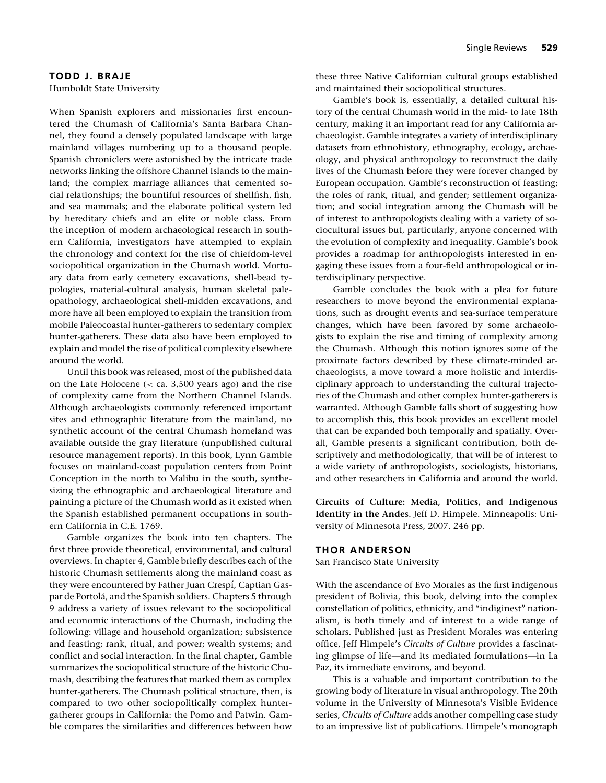# **TODD J. BRAJE**

Humboldt State University

When Spanish explorers and missionaries first encountered the Chumash of California's Santa Barbara Channel, they found a densely populated landscape with large mainland villages numbering up to a thousand people. Spanish chroniclers were astonished by the intricate trade networks linking the offshore Channel Islands to the mainland; the complex marriage alliances that cemented social relationships; the bountiful resources of shellfish, fish, and sea mammals; and the elaborate political system led by hereditary chiefs and an elite or noble class. From the inception of modern archaeological research in southern California, investigators have attempted to explain the chronology and context for the rise of chiefdom-level sociopolitical organization in the Chumash world. Mortuary data from early cemetery excavations, shell-bead typologies, material-cultural analysis, human skeletal paleopathology, archaeological shell-midden excavations, and more have all been employed to explain the transition from mobile Paleocoastal hunter-gatherers to sedentary complex hunter-gatherers. These data also have been employed to explain and model the rise of political complexity elsewhere around the world.

Until this book was released, most of the published data on the Late Holocene  $\left( <$  ca. 3,500 years ago) and the rise of complexity came from the Northern Channel Islands. Although archaeologists commonly referenced important sites and ethnographic literature from the mainland, no synthetic account of the central Chumash homeland was available outside the gray literature (unpublished cultural resource management reports). In this book, Lynn Gamble focuses on mainland-coast population centers from Point Conception in the north to Malibu in the south, synthesizing the ethnographic and archaeological literature and painting a picture of the Chumash world as it existed when the Spanish established permanent occupations in southern California in C.E. 1769.

Gamble organizes the book into ten chapters. The first three provide theoretical, environmental, and cultural overviews. In chapter 4, Gamble briefly describes each of the historic Chumash settlements along the mainland coast as they were encountered by Father Juan Crespí, Captian Gaspar de Portolá, and the Spanish soldiers. Chapters 5 through 9 address a variety of issues relevant to the sociopolitical and economic interactions of the Chumash, including the following: village and household organization; subsistence and feasting; rank, ritual, and power; wealth systems; and conflict and social interaction. In the final chapter, Gamble summarizes the sociopolitical structure of the historic Chumash, describing the features that marked them as complex hunter-gatherers. The Chumash political structure, then, is compared to two other sociopolitically complex huntergatherer groups in California: the Pomo and Patwin. Gamble compares the similarities and differences between how these three Native Californian cultural groups established and maintained their sociopolitical structures.

Gamble's book is, essentially, a detailed cultural history of the central Chumash world in the mid- to late 18th century, making it an important read for any California archaeologist. Gamble integrates a variety of interdisciplinary datasets from ethnohistory, ethnography, ecology, archaeology, and physical anthropology to reconstruct the daily lives of the Chumash before they were forever changed by European occupation. Gamble's reconstruction of feasting; the roles of rank, ritual, and gender; settlement organization; and social integration among the Chumash will be of interest to anthropologists dealing with a variety of sociocultural issues but, particularly, anyone concerned with the evolution of complexity and inequality. Gamble's book provides a roadmap for anthropologists interested in engaging these issues from a four-field anthropological or interdisciplinary perspective.

Gamble concludes the book with a plea for future researchers to move beyond the environmental explanations, such as drought events and sea-surface temperature changes, which have been favored by some archaeologists to explain the rise and timing of complexity among the Chumash. Although this notion ignores some of the proximate factors described by these climate-minded archaeologists, a move toward a more holistic and interdisciplinary approach to understanding the cultural trajectories of the Chumash and other complex hunter-gatherers is warranted. Although Gamble falls short of suggesting how to accomplish this, this book provides an excellent model that can be expanded both temporally and spatially. Overall, Gamble presents a significant contribution, both descriptively and methodologically, that will be of interest to a wide variety of anthropologists, sociologists, historians, and other researchers in California and around the world.

**Circuits of Culture: Media, Politics, and Indigenous Identity in the Andes**. Jeff D. Himpele. Minneapolis: University of Minnesota Press, 2007. 246 pp.

## **THOR ANDERSON**

San Francisco State University

With the ascendance of Evo Morales as the first indigenous president of Bolivia, this book, delving into the complex constellation of politics, ethnicity, and "indiginest" nationalism, is both timely and of interest to a wide range of scholars. Published just as President Morales was entering office, Jeff Himpele's *Circuits of Culture* provides a fascinating glimpse of life—and its mediated formulations—in La Paz, its immediate environs, and beyond.

This is a valuable and important contribution to the growing body of literature in visual anthropology. The 20th volume in the University of Minnesota's Visible Evidence series, *Circuits of Culture* adds another compelling case study to an impressive list of publications. Himpele's monograph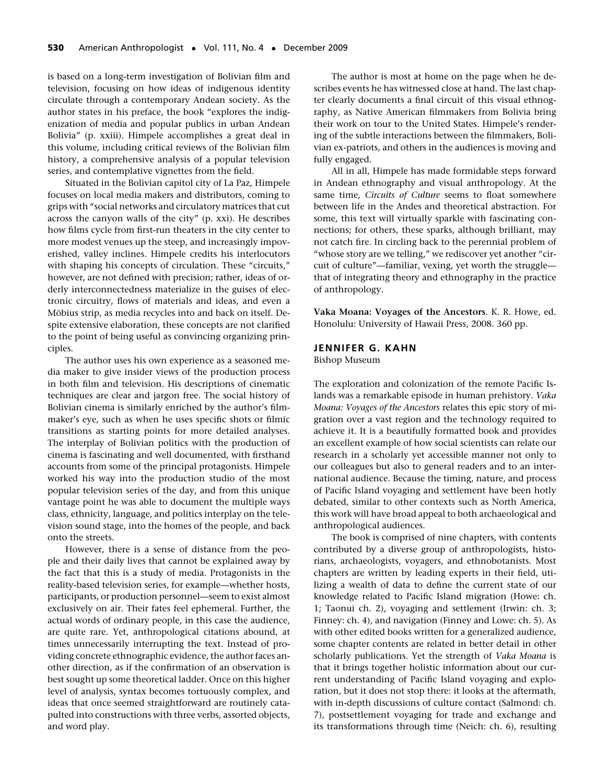is based on a long-term investigation of Bolivian film and television, focusing on how ideas of indigenous identity circulate through a contemporary Andean society. As the author states in his preface, the book "explores the indigenization of media and popular publics in urban Andean Bolivia" (p. xxiii). Himpele accomplishes a great deal in this volume, including critical reviews of the Bolivian film history, a comprehensive analysis of a popular television series, and contemplative vignettes from the field.

Situated in the Bolivian capitol city of La Paz, Himpele focuses on local media makers and distributors, coming to grips with "social networks and circulatory matrices that cut across the canyon walls of the city" (p. xxi). He describes how films cycle from first-run theaters in the city center to more modest venues up the steep, and increasingly impoverished, valley inclines. Himpele credits his interlocutors with shaping his concepts of circulation. These "circuits," however, are not defined with precision; rather, ideas of orderly interconnectedness materialize in the guises of electronic circuitry, flows of materials and ideas, and even a Möbius strip, as media recycles into and back on itself. Despite extensive elaboration, these concepts are not clarified to the point of being useful as convincing organizing principles.

The author uses his own experience as a seasoned media maker to give insider views of the production process in both film and television. His descriptions of cinematic techniques are clear and jargon free. The social history of Bolivian cinema is similarly enriched by the author's filmmaker's eye, such as when he uses specific shots or filmic transitions as starting points for more detailed analyses. The interplay of Bolivian politics with the production of cinema is fascinating and well documented, with firsthand accounts from some of the principal protagonists. Himpele worked his way into the production studio of the most popular television series of the day, and from this unique vantage point he was able to document the multiple ways class, ethnicity, language, and politics interplay on the television sound stage, into the homes of the people, and back onto the streets.

However, there is a sense of distance from the people and their daily lives that cannot be explained away by the fact that this is a study of media. Protagonists in the reality-based television series, for example—whether hosts, participants, or production personnel—seem to exist almost exclusively on air. Their fates feel ephemeral. Further, the actual words of ordinary people, in this case the audience, are quite rare. Yet, anthropological citations abound, at times unnecessarily interrupting the text. Instead of providing concrete ethnographic evidence, the author faces another direction, as if the confirmation of an observation is best sought up some theoretical ladder. Once on this higher level of analysis, syntax becomes tortuously complex, and ideas that once seemed straightforward are routinely catapulted into constructions with three verbs, assorted objects, and word play.

The author is most at home on the page when he describes events he has witnessed close at hand. The last chapter clearly documents a final circuit of this visual ethnography, as Native American filmmakers from Bolivia bring their work on tour to the United States. Himpele's rendering of the subtle interactions between the filmmakers, Bolivian ex-patriots, and others in the audiences is moving and fully engaged.

All in all, Himpele has made formidable steps forward in Andean ethnography and visual anthropology. At the same time, *Circuits of Culture* seems to float somewhere between life in the Andes and theoretical abstraction. For some, this text will virtually sparkle with fascinating connections; for others, these sparks, although brilliant, may not catch fire. In circling back to the perennial problem of "whose story are we telling," we rediscover yet another "circuit of culture"—familiar, vexing, yet worth the struggle that of integrating theory and ethnography in the practice of anthropology.

**Vaka Moana: Voyages of the Ancestors**. K. R. Howe, ed. Honolulu: University of Hawaii Press, 2008. 360 pp.

## **JENNIFER G. KAHN**

Bishop Museum

The exploration and colonization of the remote Pacific Islands was a remarkable episode in human prehistory. *Vaka Moana: Voyages of the Ancestors* relates this epic story of migration over a vast region and the technology required to achieve it. It is a beautifully formatted book and provides an excellent example of how social scientists can relate our research in a scholarly yet accessible manner not only to our colleagues but also to general readers and to an international audience. Because the timing, nature, and process of Pacific Island voyaging and settlement have been hotly debated, similar to other contexts such as North America, this work will have broad appeal to both archaeological and anthropological audiences.

The book is comprised of nine chapters, with contents contributed by a diverse group of anthropologists, historians, archaeologists, voyagers, and ethnobotanists. Most chapters are written by leading experts in their field, utilizing a wealth of data to define the current state of our knowledge related to Pacific Island migration (Howe: ch. 1; Taonui ch. 2), voyaging and settlement (Irwin: ch. 3; Finney: ch. 4), and navigation (Finney and Lowe: ch. 5). As with other edited books written for a generalized audience, some chapter contents are related in better detail in other scholarly publications. Yet the strength of *Vaka Moana* is that it brings together holistic information about our current understanding of Pacific Island voyaging and exploration, but it does not stop there: it looks at the aftermath, with in-depth discussions of culture contact (Salmond: ch. 7), postsettlement voyaging for trade and exchange and its transformations through time (Neich: ch. 6), resulting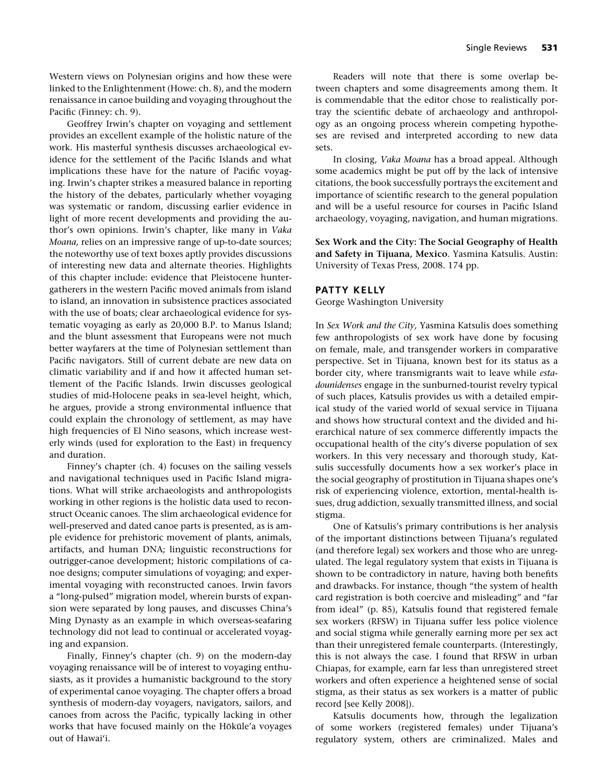Western views on Polynesian origins and how these were linked to the Enlightenment (Howe: ch. 8), and the modern renaissance in canoe building and voyaging throughout the Pacific (Finney: ch. 9).

Geoffrey Irwin's chapter on voyaging and settlement provides an excellent example of the holistic nature of the work. His masterful synthesis discusses archaeological evidence for the settlement of the Pacific Islands and what implications these have for the nature of Pacific voyaging. Irwin's chapter strikes a measured balance in reporting the history of the debates, particularly whether voyaging was systematic or random, discussing earlier evidence in light of more recent developments and providing the author's own opinions. Irwin's chapter, like many in *Vaka Moana,* relies on an impressive range of up-to-date sources; the noteworthy use of text boxes aptly provides discussions of interesting new data and alternate theories. Highlights of this chapter include: evidence that Pleistocene huntergatherers in the western Pacific moved animals from island to island, an innovation in subsistence practices associated with the use of boats; clear archaeological evidence for systematic voyaging as early as 20,000 B.P. to Manus Island; and the blunt assessment that Europeans were not much better wayfarers at the time of Polynesian settlement than Pacific navigators. Still of current debate are new data on climatic variability and if and how it affected human settlement of the Pacific Islands. Irwin discusses geological studies of mid-Holocene peaks in sea-level height, which, he argues, provide a strong environmental influence that could explain the chronology of settlement, as may have high frequencies of El Niño seasons, which increase westerly winds (used for exploration to the East) in frequency and duration.

Finney's chapter (ch. 4) focuses on the sailing vessels and navigational techniques used in Pacific Island migrations. What will strike archaeologists and anthropologists working in other regions is the holistic data used to reconstruct Oceanic canoes. The slim archaeological evidence for well-preserved and dated canoe parts is presented, as is ample evidence for prehistoric movement of plants, animals, artifacts, and human DNA; linguistic reconstructions for outrigger-canoe development; historic compilations of canoe designs; computer simulations of voyaging; and experimental voyaging with reconstructed canoes. Irwin favors a "long-pulsed" migration model, wherein bursts of expansion were separated by long pauses, and discusses China's Ming Dynasty as an example in which overseas-seafaring technology did not lead to continual or accelerated voyaging and expansion.

Finally, Finney's chapter (ch. 9) on the modern-day voyaging renaissance will be of interest to voyaging enthusiasts, as it provides a humanistic background to the story of experimental canoe voyaging. The chapter offers a broad synthesis of modern-day voyagers, navigators, sailors, and canoes from across the Pacific, typically lacking in other works that have focused mainly on the Hōkūle'a voyages out of Hawai'i.

Readers will note that there is some overlap between chapters and some disagreements among them. It is commendable that the editor chose to realistically portray the scientific debate of archaeology and anthropology as an ongoing process wherein competing hypotheses are revised and interpreted according to new data sets.

In closing, *Vaka Moana* has a broad appeal. Although some academics might be put off by the lack of intensive citations, the book successfully portrays the excitement and importance of scientific research to the general population and will be a useful resource for courses in Pacific Island archaeology, voyaging, navigation, and human migrations.

**Sex Work and the City: The Social Geography of Health and Safety in Tijuana, Mexico**. Yasmina Katsulis. Austin: University of Texas Press, 2008. 174 pp.

#### **PATTY KELLY**

George Washington University

In *Sex Work and the City,* Yasmina Katsulis does something few anthropologists of sex work have done by focusing on female, male, and transgender workers in comparative perspective. Set in Tijuana, known best for its status as a border city, where transmigrants wait to leave while *estadounidenses* engage in the sunburned-tourist revelry typical of such places, Katsulis provides us with a detailed empirical study of the varied world of sexual service in Tijuana and shows how structural context and the divided and hierarchical nature of sex commerce differently impacts the occupational health of the city's diverse population of sex workers. In this very necessary and thorough study, Katsulis successfully documents how a sex worker's place in the social geography of prostitution in Tijuana shapes one's risk of experiencing violence, extortion, mental-health issues, drug addiction, sexually transmitted illness, and social stigma.

One of Katsulis's primary contributions is her analysis of the important distinctions between Tijuana's regulated (and therefore legal) sex workers and those who are unregulated. The legal regulatory system that exists in Tijuana is shown to be contradictory in nature, having both benefits and drawbacks. For instance, though "the system of health card registration is both coercive and misleading" and "far from ideal" (p. 85), Katsulis found that registered female sex workers (RFSW) in Tijuana suffer less police violence and social stigma while generally earning more per sex act than their unregistered female counterparts. (Interestingly, this is not always the case. I found that RFSW in urban Chiapas, for example, earn far less than unregistered street workers and often experience a heightened sense of social stigma, as their status as sex workers is a matter of public record [see Kelly 2008]).

Katsulis documents how, through the legalization of some workers (registered females) under Tijuana's regulatory system, others are criminalized. Males and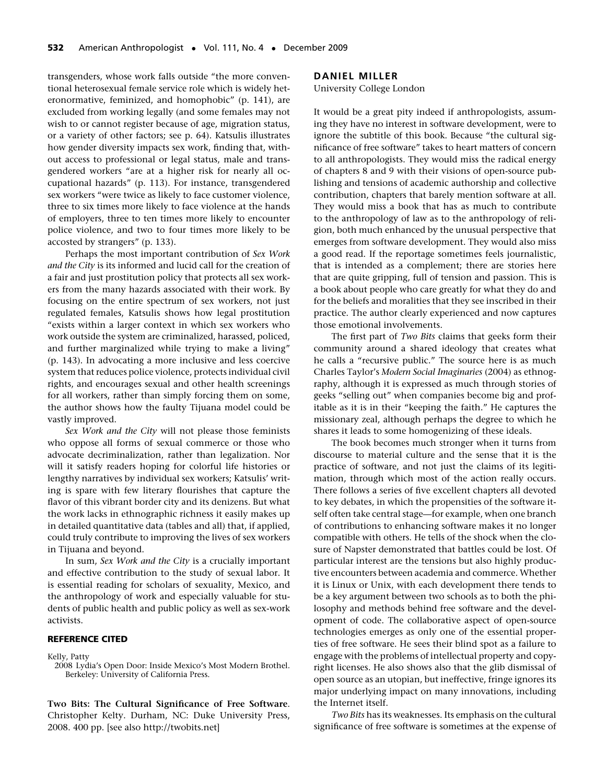transgenders, whose work falls outside "the more conventional heterosexual female service role which is widely heteronormative, feminized, and homophobic" (p. 141), are excluded from working legally (and some females may not wish to or cannot register because of age, migration status, or a variety of other factors; see p. 64). Katsulis illustrates how gender diversity impacts sex work, finding that, without access to professional or legal status, male and transgendered workers "are at a higher risk for nearly all occupational hazards" (p. 113). For instance, transgendered sex workers "were twice as likely to face customer violence, three to six times more likely to face violence at the hands of employers, three to ten times more likely to encounter police violence, and two to four times more likely to be accosted by strangers" (p. 133).

Perhaps the most important contribution of *Sex Work and the City* is its informed and lucid call for the creation of a fair and just prostitution policy that protects all sex workers from the many hazards associated with their work. By focusing on the entire spectrum of sex workers, not just regulated females, Katsulis shows how legal prostitution "exists within a larger context in which sex workers who work outside the system are criminalized, harassed, policed, and further marginalized while trying to make a living" (p. 143). In advocating a more inclusive and less coercive system that reduces police violence, protects individual civil rights, and encourages sexual and other health screenings for all workers, rather than simply forcing them on some, the author shows how the faulty Tijuana model could be vastly improved.

*Sex Work and the City* will not please those feminists who oppose all forms of sexual commerce or those who advocate decriminalization, rather than legalization. Nor will it satisfy readers hoping for colorful life histories or lengthy narratives by individual sex workers; Katsulis' writing is spare with few literary flourishes that capture the flavor of this vibrant border city and its denizens. But what the work lacks in ethnographic richness it easily makes up in detailed quantitative data (tables and all) that, if applied, could truly contribute to improving the lives of sex workers in Tijuana and beyond.

In sum, *Sex Work and the City* is a crucially important and effective contribution to the study of sexual labor. It is essential reading for scholars of sexuality, Mexico, and the anthropology of work and especially valuable for students of public health and public policy as well as sex-work activists.

#### REFERENCE CITED

#### Kelly, Patty

2008 Lydia's Open Door: Inside Mexico's Most Modern Brothel. Berkeley: University of California Press.

**Two Bits: The Cultural Significance of Free Software**. Christopher Kelty. Durham, NC: Duke University Press, 2008. 400 pp. [see also http://twobits.net]

# **DANIEL MILLER**

University College London

It would be a great pity indeed if anthropologists, assuming they have no interest in software development, were to ignore the subtitle of this book. Because "the cultural significance of free software" takes to heart matters of concern to all anthropologists. They would miss the radical energy of chapters 8 and 9 with their visions of open-source publishing and tensions of academic authorship and collective contribution, chapters that barely mention software at all. They would miss a book that has as much to contribute to the anthropology of law as to the anthropology of religion, both much enhanced by the unusual perspective that emerges from software development. They would also miss a good read. If the reportage sometimes feels journalistic, that is intended as a complement; there are stories here that are quite gripping, full of tension and passion. This is a book about people who care greatly for what they do and for the beliefs and moralities that they see inscribed in their practice. The author clearly experienced and now captures those emotional involvements.

The first part of *Two Bits* claims that geeks form their community around a shared ideology that creates what he calls a "recursive public." The source here is as much Charles Taylor's *Modern Social Imaginaries* (2004) as ethnography, although it is expressed as much through stories of geeks "selling out" when companies become big and profitable as it is in their "keeping the faith." He captures the missionary zeal, although perhaps the degree to which he shares it leads to some homogenizing of these ideals.

The book becomes much stronger when it turns from discourse to material culture and the sense that it is the practice of software, and not just the claims of its legitimation, through which most of the action really occurs. There follows a series of five excellent chapters all devoted to key debates, in which the propensities of the software itself often take central stage—for example, when one branch of contributions to enhancing software makes it no longer compatible with others. He tells of the shock when the closure of Napster demonstrated that battles could be lost. Of particular interest are the tensions but also highly productive encounters between academia and commerce. Whether it is Linux or Unix, with each development there tends to be a key argument between two schools as to both the philosophy and methods behind free software and the development of code. The collaborative aspect of open-source technologies emerges as only one of the essential properties of free software. He sees their blind spot as a failure to engage with the problems of intellectual property and copyright licenses. He also shows also that the glib dismissal of open source as an utopian, but ineffective, fringe ignores its major underlying impact on many innovations, including the Internet itself.

*Two Bits* has its weaknesses. Its emphasis on the cultural significance of free software is sometimes at the expense of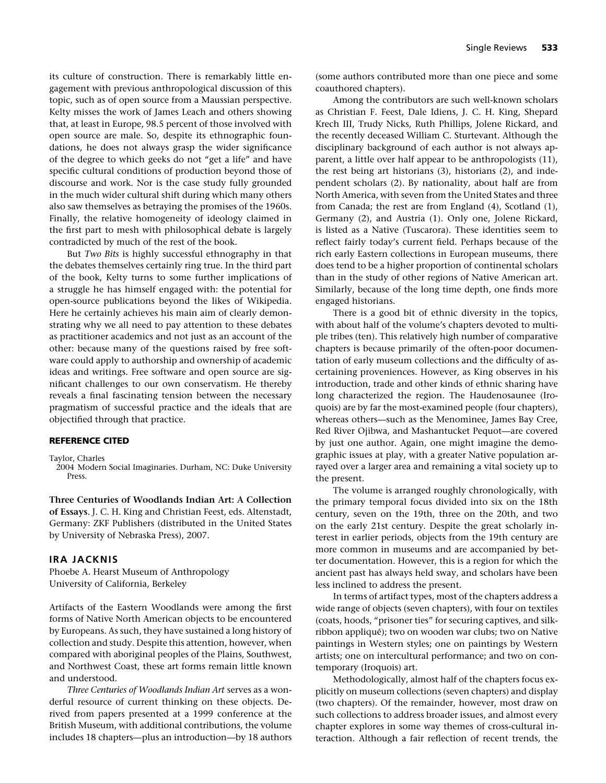its culture of construction. There is remarkably little engagement with previous anthropological discussion of this topic, such as of open source from a Maussian perspective. Kelty misses the work of James Leach and others showing that, at least in Europe, 98.5 percent of those involved with open source are male. So, despite its ethnographic foundations, he does not always grasp the wider significance of the degree to which geeks do not "get a life" and have specific cultural conditions of production beyond those of discourse and work. Nor is the case study fully grounded in the much wider cultural shift during which many others also saw themselves as betraying the promises of the 1960s. Finally, the relative homogeneity of ideology claimed in the first part to mesh with philosophical debate is largely contradicted by much of the rest of the book.

But *Two Bits* is highly successful ethnography in that the debates themselves certainly ring true. In the third part of the book, Kelty turns to some further implications of a struggle he has himself engaged with: the potential for open-source publications beyond the likes of Wikipedia. Here he certainly achieves his main aim of clearly demonstrating why we all need to pay attention to these debates as practitioner academics and not just as an account of the other: because many of the questions raised by free software could apply to authorship and ownership of academic ideas and writings. Free software and open source are significant challenges to our own conservatism. He thereby reveals a final fascinating tension between the necessary pragmatism of successful practice and the ideals that are objectified through that practice.

## REFERENCE CITED

Taylor, Charles

2004 Modern Social Imaginaries. Durham, NC: Duke University Press.

**Three Centuries of Woodlands Indian Art: A Collection of Essays**. J. C. H. King and Christian Feest, eds. Altenstadt, Germany: ZKF Publishers (distributed in the United States by University of Nebraska Press), 2007.

## **IRA JACKNIS**

Phoebe A. Hearst Museum of Anthropology University of California, Berkeley

Artifacts of the Eastern Woodlands were among the first forms of Native North American objects to be encountered by Europeans. As such, they have sustained a long history of collection and study. Despite this attention, however, when compared with aboriginal peoples of the Plains, Southwest, and Northwest Coast, these art forms remain little known and understood.

*Three Centuries of Woodlands Indian Art* serves as a wonderful resource of current thinking on these objects. Derived from papers presented at a 1999 conference at the British Museum, with additional contributions, the volume includes 18 chapters—plus an introduction—by 18 authors

(some authors contributed more than one piece and some coauthored chapters).

Among the contributors are such well-known scholars as Christian F. Feest, Dale Idiens, J. C. H. King, Shepard Krech III, Trudy Nicks, Ruth Phillips, Jolene Rickard, and the recently deceased William C. Sturtevant. Although the disciplinary background of each author is not always apparent, a little over half appear to be anthropologists (11), the rest being art historians (3), historians (2), and independent scholars (2). By nationality, about half are from North America, with seven from the United States and three from Canada; the rest are from England (4), Scotland (1), Germany (2), and Austria (1). Only one, Jolene Rickard, is listed as a Native (Tuscarora). These identities seem to reflect fairly today's current field. Perhaps because of the rich early Eastern collections in European museums, there does tend to be a higher proportion of continental scholars than in the study of other regions of Native American art. Similarly, because of the long time depth, one finds more engaged historians.

There is a good bit of ethnic diversity in the topics, with about half of the volume's chapters devoted to multiple tribes (ten). This relatively high number of comparative chapters is because primarily of the often-poor documentation of early museum collections and the difficulty of ascertaining proveniences. However, as King observes in his introduction, trade and other kinds of ethnic sharing have long characterized the region. The Haudenosaunee (Iroquois) are by far the most-examined people (four chapters), whereas others—such as the Menominee, James Bay Cree, Red River Ojibwa, and Mashantucket Pequot—are covered by just one author. Again, one might imagine the demographic issues at play, with a greater Native population arrayed over a larger area and remaining a vital society up to the present.

The volume is arranged roughly chronologically, with the primary temporal focus divided into six on the 18th century, seven on the 19th, three on the 20th, and two on the early 21st century. Despite the great scholarly interest in earlier periods, objects from the 19th century are more common in museums and are accompanied by better documentation. However, this is a region for which the ancient past has always held sway, and scholars have been less inclined to address the present.

In terms of artifact types, most of the chapters address a wide range of objects (seven chapters), with four on textiles (coats, hoods, "prisoner ties" for securing captives, and silkribbon applique); two on wooden war clubs; two on Native ´ paintings in Western styles; one on paintings by Western artists; one on intercultural performance; and two on contemporary (Iroquois) art.

Methodologically, almost half of the chapters focus explicitly on museum collections (seven chapters) and display (two chapters). Of the remainder, however, most draw on such collections to address broader issues, and almost every chapter explores in some way themes of cross-cultural interaction. Although a fair reflection of recent trends, the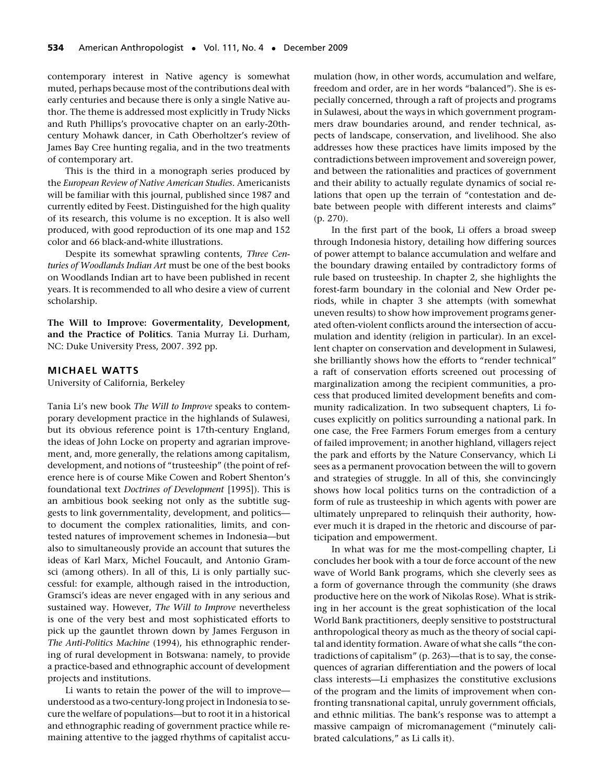contemporary interest in Native agency is somewhat muted, perhaps because most of the contributions deal with early centuries and because there is only a single Native author. The theme is addressed most explicitly in Trudy Nicks and Ruth Phillips's provocative chapter on an early-20thcentury Mohawk dancer, in Cath Oberholtzer's review of James Bay Cree hunting regalia, and in the two treatments of contemporary art.

This is the third in a monograph series produced by the *European Review of Native American Studies.* Americanists will be familiar with this journal, published since 1987 and currently edited by Feest. Distinguished for the high quality of its research, this volume is no exception. It is also well produced, with good reproduction of its one map and 152 color and 66 black-and-white illustrations.

Despite its somewhat sprawling contents, *Three Centuries of Woodlands Indian Art* must be one of the best books on Woodlands Indian art to have been published in recent years. It is recommended to all who desire a view of current scholarship.

**The Will to Improve: Govermentality, Development, and the Practice of Politics**. Tania Murray Li. Durham, NC: Duke University Press, 2007. 392 pp.

#### **MICHAEL WATTS**

University of California, Berkeley

Tania Li's new book *The Will to Improve* speaks to contemporary development practice in the highlands of Sulawesi, but its obvious reference point is 17th-century England, the ideas of John Locke on property and agrarian improvement, and, more generally, the relations among capitalism, development, and notions of "trusteeship" (the point of reference here is of course Mike Cowen and Robert Shenton's foundational text *Doctrines of Development* [1995]). This is an ambitious book seeking not only as the subtitle suggests to link governmentality, development, and politics to document the complex rationalities, limits, and contested natures of improvement schemes in Indonesia—but also to simultaneously provide an account that sutures the ideas of Karl Marx, Michel Foucault, and Antonio Gramsci (among others). In all of this, Li is only partially successful: for example, although raised in the introduction, Gramsci's ideas are never engaged with in any serious and sustained way. However, *The Will to Improve* nevertheless is one of the very best and most sophisticated efforts to pick up the gauntlet thrown down by James Ferguson in *The Anti-Politics Machine* (1994), his ethnographic rendering of rural development in Botswana: namely, to provide a practice-based and ethnographic account of development projects and institutions.

Li wants to retain the power of the will to improve understood as a two-century-long project in Indonesia to secure the welfare of populations—but to root it in a historical and ethnographic reading of government practice while remaining attentive to the jagged rhythms of capitalist accu-

mulation (how, in other words, accumulation and welfare, freedom and order, are in her words "balanced"). She is especially concerned, through a raft of projects and programs in Sulawesi, about the ways in which government programmers draw boundaries around, and render technical, aspects of landscape, conservation, and livelihood. She also addresses how these practices have limits imposed by the contradictions between improvement and sovereign power, and between the rationalities and practices of government and their ability to actually regulate dynamics of social relations that open up the terrain of "contestation and debate between people with different interests and claims" (p. 270).

In the first part of the book, Li offers a broad sweep through Indonesia history, detailing how differing sources of power attempt to balance accumulation and welfare and the boundary drawing entailed by contradictory forms of rule based on trusteeship. In chapter 2, she highlights the forest-farm boundary in the colonial and New Order periods, while in chapter 3 she attempts (with somewhat uneven results) to show how improvement programs generated often-violent conflicts around the intersection of accumulation and identity (religion in particular). In an excellent chapter on conservation and development in Sulawesi, she brilliantly shows how the efforts to "render technical" a raft of conservation efforts screened out processing of marginalization among the recipient communities, a process that produced limited development benefits and community radicalization. In two subsequent chapters, Li focuses explicitly on politics surrounding a national park. In one case, the Free Farmers Forum emerges from a century of failed improvement; in another highland, villagers reject the park and efforts by the Nature Conservancy, which Li sees as a permanent provocation between the will to govern and strategies of struggle. In all of this, she convincingly shows how local politics turns on the contradiction of a form of rule as trusteeship in which agents with power are ultimately unprepared to relinquish their authority, however much it is draped in the rhetoric and discourse of participation and empowerment.

In what was for me the most-compelling chapter, Li concludes her book with a tour de force account of the new wave of World Bank programs, which she cleverly sees as a form of governance through the community (she draws productive here on the work of Nikolas Rose). What is striking in her account is the great sophistication of the local World Bank practitioners, deeply sensitive to poststructural anthropological theory as much as the theory of social capital and identity formation. Aware of what she calls "the contradictions of capitalism" (p. 263)—that is to say, the consequences of agrarian differentiation and the powers of local class interests—Li emphasizes the constitutive exclusions of the program and the limits of improvement when confronting transnational capital, unruly government officials, and ethnic militias. The bank's response was to attempt a massive campaign of micromanagement ("minutely calibrated calculations," as Li calls it).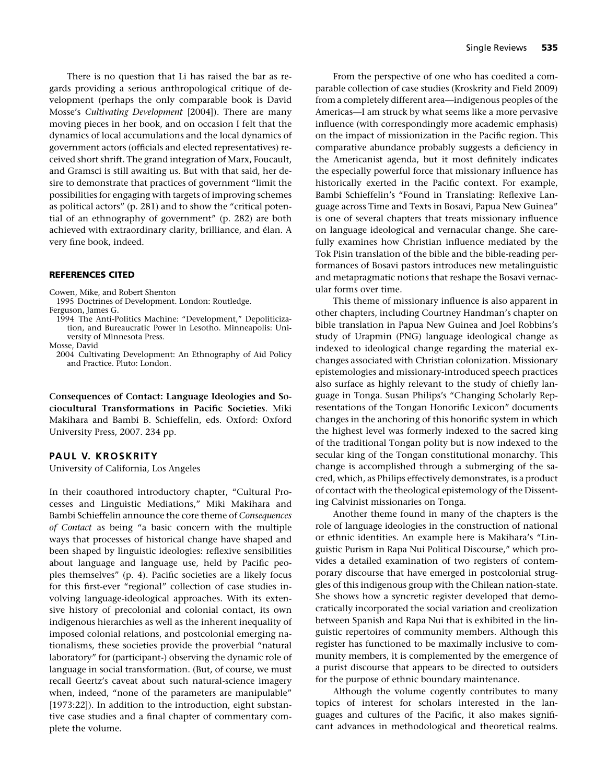There is no question that Li has raised the bar as regards providing a serious anthropological critique of development (perhaps the only comparable book is David Mosse's *Cultivating Development* [2004]). There are many moving pieces in her book, and on occasion I felt that the dynamics of local accumulations and the local dynamics of government actors (officials and elected representatives) received short shrift. The grand integration of Marx, Foucault, and Gramsci is still awaiting us. But with that said, her desire to demonstrate that practices of government "limit the possibilities for engaging with targets of improving schemes as political actors" (p. 281) and to show the "critical potential of an ethnography of government" (p. 282) are both achieved with extraordinary clarity, brilliance, and elan. A ´ very fine book, indeed.

#### REFERENCES CITED

- Cowen, Mike, and Robert Shenton
- 1995 Doctrines of Development. London: Routledge. Ferguson, James G.
- 1994 The Anti-Politics Machine: "Development," Depoliticization, and Bureaucratic Power in Lesotho. Minneapolis: University of Minnesota Press.
- Mosse, David 2004 Cultivating Development: An Ethnography of Aid Policy

and Practice. Pluto: London.

**Consequences of Contact: Language Ideologies and Sociocultural Transformations in Pacific Societies**. Miki Makihara and Bambi B. Schieffelin, eds. Oxford: Oxford University Press, 2007. 234 pp.

#### **PAUL V. KROSKRITY**

University of California, Los Angeles

In their coauthored introductory chapter, "Cultural Processes and Linguistic Mediations," Miki Makihara and Bambi Schieffelin announce the core theme of *Consequences of Contact* as being "a basic concern with the multiple ways that processes of historical change have shaped and been shaped by linguistic ideologies: reflexive sensibilities about language and language use, held by Pacific peoples themselves" (p. 4). Pacific societies are a likely focus for this first-ever "regional" collection of case studies involving language-ideological approaches. With its extensive history of precolonial and colonial contact, its own indigenous hierarchies as well as the inherent inequality of imposed colonial relations, and postcolonial emerging nationalisms, these societies provide the proverbial "natural laboratory" for (participant-) observing the dynamic role of language in social transformation. (But, of course, we must recall Geertz's caveat about such natural-science imagery when, indeed, "none of the parameters are manipulable" [1973:22]). In addition to the introduction, eight substantive case studies and a final chapter of commentary complete the volume.

From the perspective of one who has coedited a comparable collection of case studies (Kroskrity and Field 2009) from a completely different area—indigenous peoples of the Americas—I am struck by what seems like a more pervasive influence (with correspondingly more academic emphasis) on the impact of missionization in the Pacific region. This comparative abundance probably suggests a deficiency in the Americanist agenda, but it most definitely indicates the especially powerful force that missionary influence has historically exerted in the Pacific context. For example, Bambi Schieffelin's "Found in Translating: Reflexive Language across Time and Texts in Bosavi, Papua New Guinea" is one of several chapters that treats missionary influence on language ideological and vernacular change. She carefully examines how Christian influence mediated by the Tok Pisin translation of the bible and the bible-reading performances of Bosavi pastors introduces new metalinguistic and metapragmatic notions that reshape the Bosavi vernacular forms over time.

This theme of missionary influence is also apparent in other chapters, including Courtney Handman's chapter on bible translation in Papua New Guinea and Joel Robbins's study of Urapmin (PNG) language ideological change as indexed to ideological change regarding the material exchanges associated with Christian colonization. Missionary epistemologies and missionary-introduced speech practices also surface as highly relevant to the study of chiefly language in Tonga. Susan Philips's "Changing Scholarly Representations of the Tongan Honorific Lexicon" documents changes in the anchoring of this honorific system in which the highest level was formerly indexed to the sacred king of the traditional Tongan polity but is now indexed to the secular king of the Tongan constitutional monarchy. This change is accomplished through a submerging of the sacred, which, as Philips effectively demonstrates, is a product of contact with the theological epistemology of the Dissenting Calvinist missionaries on Tonga.

Another theme found in many of the chapters is the role of language ideologies in the construction of national or ethnic identities. An example here is Makihara's "Linguistic Purism in Rapa Nui Political Discourse," which provides a detailed examination of two registers of contemporary discourse that have emerged in postcolonial struggles of this indigenous group with the Chilean nation-state. She shows how a syncretic register developed that democratically incorporated the social variation and creolization between Spanish and Rapa Nui that is exhibited in the linguistic repertoires of community members. Although this register has functioned to be maximally inclusive to community members, it is complemented by the emergence of a purist discourse that appears to be directed to outsiders for the purpose of ethnic boundary maintenance.

Although the volume cogently contributes to many topics of interest for scholars interested in the languages and cultures of the Pacific, it also makes significant advances in methodological and theoretical realms.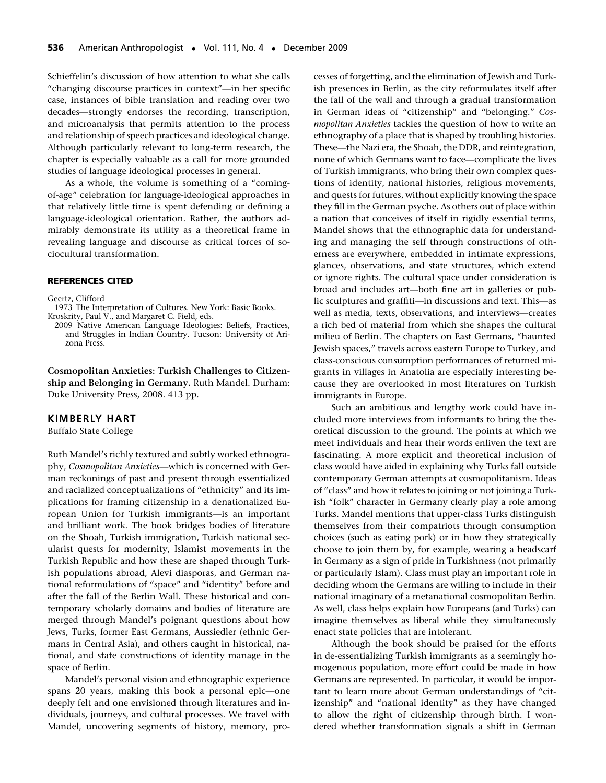Schieffelin's discussion of how attention to what she calls "changing discourse practices in context"—in her specific case, instances of bible translation and reading over two decades—strongly endorses the recording, transcription, and microanalysis that permits attention to the process and relationship of speech practices and ideological change. Although particularly relevant to long-term research, the chapter is especially valuable as a call for more grounded studies of language ideological processes in general.

As a whole, the volume is something of a "comingof-age" celebration for language-ideological approaches in that relatively little time is spent defending or defining a language-ideological orientation. Rather, the authors admirably demonstrate its utility as a theoretical frame in revealing language and discourse as critical forces of sociocultural transformation.

#### REFERENCES CITED

Geertz, Clifford

- 1973 The Interpretation of Cultures. New York: Basic Books. Kroskrity, Paul V., and Margaret C. Field, eds.
- 2009 Native American Language Ideologies: Beliefs, Practices, and Struggles in Indian Country. Tucson: University of Arizona Press.

**Cosmopolitan Anxieties: Turkish Challenges to Citizenship and Belonging in Germany.** Ruth Mandel. Durham: Duke University Press, 2008. 413 pp.

## **KIMBER LY HART**

Buffalo State College

Ruth Mandel's richly textured and subtly worked ethnography, *Cosmopolitan Anxieties*—which is concerned with German reckonings of past and present through essentialized and racialized conceptualizations of "ethnicity" and its implications for framing citizenship in a denationalized European Union for Turkish immigrants—is an important and brilliant work. The book bridges bodies of literature on the Shoah, Turkish immigration, Turkish national secularist quests for modernity, Islamist movements in the Turkish Republic and how these are shaped through Turkish populations abroad, Alevi diasporas, and German national reformulations of "space" and "identity" before and after the fall of the Berlin Wall. These historical and contemporary scholarly domains and bodies of literature are merged through Mandel's poignant questions about how Jews, Turks, former East Germans, Aussiedler (ethnic Germans in Central Asia), and others caught in historical, national, and state constructions of identity manage in the space of Berlin.

Mandel's personal vision and ethnographic experience spans 20 years, making this book a personal epic—one deeply felt and one envisioned through literatures and individuals, journeys, and cultural processes. We travel with Mandel, uncovering segments of history, memory, processes of forgetting, and the elimination of Jewish and Turkish presences in Berlin, as the city reformulates itself after the fall of the wall and through a gradual transformation in German ideas of "citizenship" and "belonging." *Cosmopolitan Anxieties* tackles the question of how to write an ethnography of a place that is shaped by troubling histories. These—the Nazi era, the Shoah, the DDR, and reintegration, none of which Germans want to face—complicate the lives of Turkish immigrants, who bring their own complex questions of identity, national histories, religious movements, and quests for futures, without explicitly knowing the space they fill in the German psyche. As others out of place within a nation that conceives of itself in rigidly essential terms, Mandel shows that the ethnographic data for understanding and managing the self through constructions of otherness are everywhere, embedded in intimate expressions, glances, observations, and state structures, which extend or ignore rights. The cultural space under consideration is broad and includes art—both fine art in galleries or public sculptures and graffiti—in discussions and text. This—as well as media, texts, observations, and interviews—creates a rich bed of material from which she shapes the cultural milieu of Berlin. The chapters on East Germans, "haunted Jewish spaces," travels across eastern Europe to Turkey, and class-conscious consumption performances of returned migrants in villages in Anatolia are especially interesting because they are overlooked in most literatures on Turkish immigrants in Europe.

Such an ambitious and lengthy work could have included more interviews from informants to bring the theoretical discussion to the ground. The points at which we meet individuals and hear their words enliven the text are fascinating. A more explicit and theoretical inclusion of class would have aided in explaining why Turks fall outside contemporary German attempts at cosmopolitanism. Ideas of "class" and how it relates to joining or not joining a Turkish "folk" character in Germany clearly play a role among Turks. Mandel mentions that upper-class Turks distinguish themselves from their compatriots through consumption choices (such as eating pork) or in how they strategically choose to join them by, for example, wearing a headscarf in Germany as a sign of pride in Turkishness (not primarily or particularly Islam). Class must play an important role in deciding whom the Germans are willing to include in their national imaginary of a metanational cosmopolitan Berlin. As well, class helps explain how Europeans (and Turks) can imagine themselves as liberal while they simultaneously enact state policies that are intolerant.

Although the book should be praised for the efforts in de-essentializing Turkish immigrants as a seemingly homogenous population, more effort could be made in how Germans are represented. In particular, it would be important to learn more about German understandings of "citizenship" and "national identity" as they have changed to allow the right of citizenship through birth. I wondered whether transformation signals a shift in German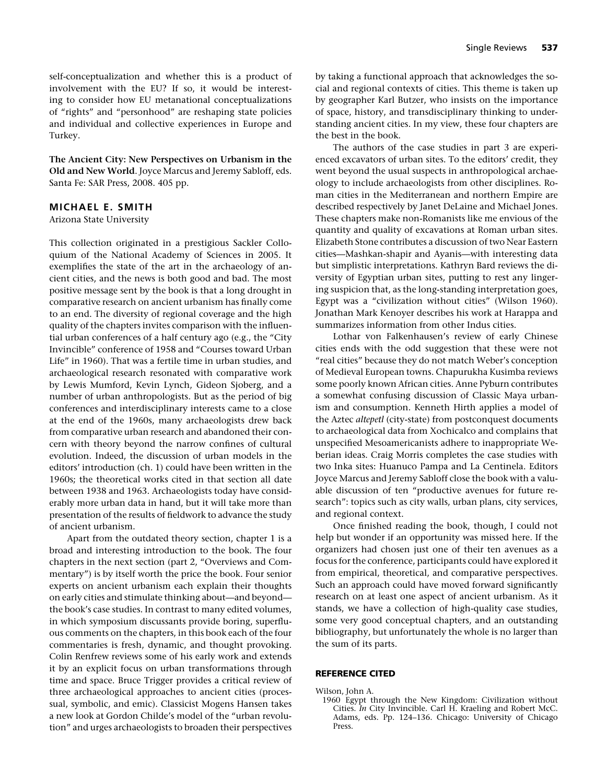self-conceptualization and whether this is a product of involvement with the EU? If so, it would be interesting to consider how EU metanational conceptualizations of "rights" and "personhood" are reshaping state policies and individual and collective experiences in Europe and Turkey.

**The Ancient City: New Perspectives on Urbanism in the Old and New World**. Joyce Marcus and Jeremy Sabloff, eds. Santa Fe: SAR Press, 2008. 405 pp.

## **MICHAEL E. SMITH**

Arizona State University

This collection originated in a prestigious Sackler Colloquium of the National Academy of Sciences in 2005. It exemplifies the state of the art in the archaeology of ancient cities, and the news is both good and bad. The most positive message sent by the book is that a long drought in comparative research on ancient urbanism has finally come to an end. The diversity of regional coverage and the high quality of the chapters invites comparison with the influential urban conferences of a half century ago (e.g., the "City Invincible" conference of 1958 and "Courses toward Urban Life" in 1960). That was a fertile time in urban studies, and archaeological research resonated with comparative work by Lewis Mumford, Kevin Lynch, Gideon Sjoberg, and a number of urban anthropologists. But as the period of big conferences and interdisciplinary interests came to a close at the end of the 1960s, many archaeologists drew back from comparative urban research and abandoned their concern with theory beyond the narrow confines of cultural evolution. Indeed, the discussion of urban models in the editors' introduction (ch. 1) could have been written in the 1960s; the theoretical works cited in that section all date between 1938 and 1963. Archaeologists today have considerably more urban data in hand, but it will take more than presentation of the results of fieldwork to advance the study of ancient urbanism.

Apart from the outdated theory section, chapter 1 is a broad and interesting introduction to the book. The four chapters in the next section (part 2, "Overviews and Commentary") is by itself worth the price the book. Four senior experts on ancient urbanism each explain their thoughts on early cities and stimulate thinking about—and beyond the book's case studies. In contrast to many edited volumes, in which symposium discussants provide boring, superfluous comments on the chapters, in this book each of the four commentaries is fresh, dynamic, and thought provoking. Colin Renfrew reviews some of his early work and extends it by an explicit focus on urban transformations through time and space. Bruce Trigger provides a critical review of three archaeological approaches to ancient cities (processual, symbolic, and emic). Classicist Mogens Hansen takes a new look at Gordon Childe's model of the "urban revolution" and urges archaeologists to broaden their perspectives

by taking a functional approach that acknowledges the social and regional contexts of cities. This theme is taken up by geographer Karl Butzer, who insists on the importance of space, history, and transdisciplinary thinking to understanding ancient cities. In my view, these four chapters are the best in the book.

The authors of the case studies in part 3 are experienced excavators of urban sites. To the editors' credit, they went beyond the usual suspects in anthropological archaeology to include archaeologists from other disciplines. Roman cities in the Mediterranean and northern Empire are described respectively by Janet DeLaine and Michael Jones. These chapters make non-Romanists like me envious of the quantity and quality of excavations at Roman urban sites. Elizabeth Stone contributes a discussion of two Near Eastern cities—Mashkan-shapir and Ayanis—with interesting data but simplistic interpretations. Kathryn Bard reviews the diversity of Egyptian urban sites, putting to rest any lingering suspicion that, as the long-standing interpretation goes, Egypt was a "civilization without cities" (Wilson 1960). Jonathan Mark Kenoyer describes his work at Harappa and summarizes information from other Indus cities.

Lothar von Falkenhausen's review of early Chinese cities ends with the odd suggestion that these were not "real cities" because they do not match Weber's conception of Medieval European towns. Chapurukha Kusimba reviews some poorly known African cities. Anne Pyburn contributes a somewhat confusing discussion of Classic Maya urbanism and consumption. Kenneth Hirth applies a model of the Aztec *altepetl* (city-state) from postconquest documents to archaeological data from Xochicalco and complains that unspecified Mesoamericanists adhere to inappropriate Weberian ideas. Craig Morris completes the case studies with two Inka sites: Huanuco Pampa and La Centinela. Editors Joyce Marcus and Jeremy Sabloff close the book with a valuable discussion of ten "productive avenues for future research": topics such as city walls, urban plans, city services, and regional context.

Once finished reading the book, though, I could not help but wonder if an opportunity was missed here. If the organizers had chosen just one of their ten avenues as a focus for the conference, participants could have explored it from empirical, theoretical, and comparative perspectives. Such an approach could have moved forward significantly research on at least one aspect of ancient urbanism. As it stands, we have a collection of high-quality case studies, some very good conceptual chapters, and an outstanding bibliography, but unfortunately the whole is no larger than the sum of its parts.

#### REFERENCE CITED

Wilson, John A.

1960 Egypt through the New Kingdom: Civilization without Cities. *In* City Invincible. Carl H. Kraeling and Robert McC. Adams, eds. Pp. 124–136. Chicago: University of Chicago Press.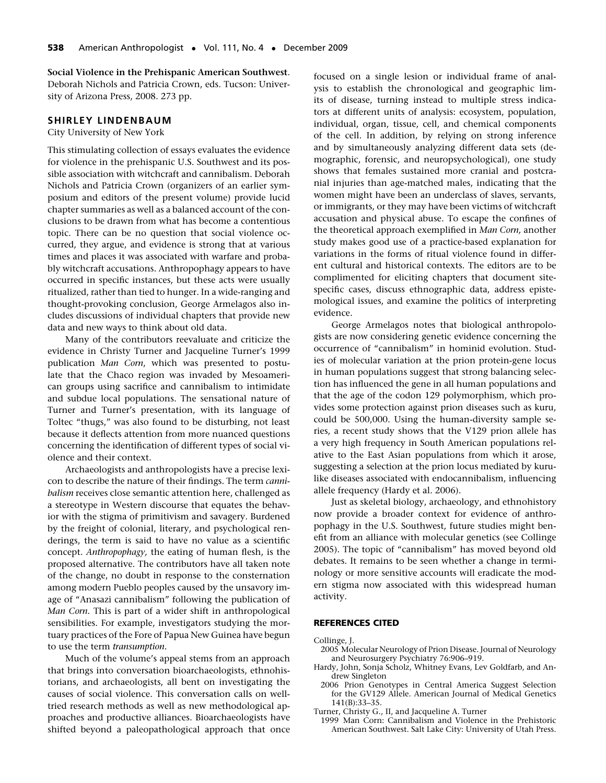**Social Violence in the Prehispanic American Southwest**. Deborah Nichols and Patricia Crown, eds. Tucson: University of Arizona Press, 2008. 273 pp.

# **SHIRLEY LINDENBAUM**

City University of New York

This stimulating collection of essays evaluates the evidence for violence in the prehispanic U.S. Southwest and its possible association with witchcraft and cannibalism. Deborah Nichols and Patricia Crown (organizers of an earlier symposium and editors of the present volume) provide lucid chapter summaries as well as a balanced account of the conclusions to be drawn from what has become a contentious topic. There can be no question that social violence occurred, they argue, and evidence is strong that at various times and places it was associated with warfare and probably witchcraft accusations. Anthropophagy appears to have occurred in specific instances, but these acts were usually ritualized, rather than tied to hunger. In a wide-ranging and thought-provoking conclusion, George Armelagos also includes discussions of individual chapters that provide new data and new ways to think about old data.

Many of the contributors reevaluate and criticize the evidence in Christy Turner and Jacqueline Turner's 1999 publication *Man Corn*, which was presented to postulate that the Chaco region was invaded by Mesoamerican groups using sacrifice and cannibalism to intimidate and subdue local populations. The sensational nature of Turner and Turner's presentation, with its language of Toltec "thugs," was also found to be disturbing, not least because it deflects attention from more nuanced questions concerning the identification of different types of social violence and their context.

Archaeologists and anthropologists have a precise lexicon to describe the nature of their findings. The term *cannibalism* receives close semantic attention here, challenged as a stereotype in Western discourse that equates the behavior with the stigma of primitivism and savagery. Burdened by the freight of colonial, literary, and psychological renderings, the term is said to have no value as a scientific concept. *Anthropophagy,* the eating of human flesh, is the proposed alternative. The contributors have all taken note of the change, no doubt in response to the consternation among modern Pueblo peoples caused by the unsavory image of "Anasazi cannibalism" following the publication of *Man Corn.* This is part of a wider shift in anthropological sensibilities. For example, investigators studying the mortuary practices of the Fore of Papua New Guinea have begun to use the term *transumption.*

Much of the volume's appeal stems from an approach that brings into conversation bioarchaeologists, ethnohistorians, and archaeologists, all bent on investigating the causes of social violence. This conversation calls on welltried research methods as well as new methodological approaches and productive alliances. Bioarchaeologists have shifted beyond a paleopathological approach that once

focused on a single lesion or individual frame of analysis to establish the chronological and geographic limits of disease, turning instead to multiple stress indicators at different units of analysis: ecosystem, population, individual, organ, tissue, cell, and chemical components of the cell. In addition, by relying on strong inference and by simultaneously analyzing different data sets (demographic, forensic, and neuropsychological), one study shows that females sustained more cranial and postcranial injuries than age-matched males, indicating that the women might have been an underclass of slaves, servants, or immigrants, or they may have been victims of witchcraft accusation and physical abuse. To escape the confines of the theoretical approach exemplified in *Man Corn,* another study makes good use of a practice-based explanation for variations in the forms of ritual violence found in different cultural and historical contexts. The editors are to be complimented for eliciting chapters that document sitespecific cases, discuss ethnographic data, address epistemological issues, and examine the politics of interpreting evidence.

George Armelagos notes that biological anthropologists are now considering genetic evidence concerning the occurrence of "cannibalism" in hominid evolution. Studies of molecular variation at the prion protein-gene locus in human populations suggest that strong balancing selection has influenced the gene in all human populations and that the age of the codon 129 polymorphism, which provides some protection against prion diseases such as kuru, could be 500,000. Using the human-diversity sample series, a recent study shows that the V129 prion allele has a very high frequency in South American populations relative to the East Asian populations from which it arose, suggesting a selection at the prion locus mediated by kurulike diseases associated with endocannibalism, influencing allele frequency (Hardy et al. 2006).

Just as skeletal biology, archaeology, and ethnohistory now provide a broader context for evidence of anthropophagy in the U.S. Southwest, future studies might benefit from an alliance with molecular genetics (see Collinge 2005). The topic of "cannibalism" has moved beyond old debates. It remains to be seen whether a change in terminology or more sensitive accounts will eradicate the modern stigma now associated with this widespread human activity.

#### REFERENCES CITED

Collinge, J.

- 2005 Molecular Neurology of Prion Disease. Journal of Neurology and Neurosurgery Psychiatry 76:906–919.
- Hardy, John, Sonja Scholz, Whitney Evans, Lev Goldfarb, and Andrew Singleton
- 2006 Prion Genotypes in Central America Suggest Selection for the GV129 Allele. American Journal of Medical Genetics 141(B):33–35.
- Turner, Christy G., II, and Jacqueline A. Turner
- 1999 Man Corn: Cannibalism and Violence in the Prehistoric American Southwest. Salt Lake City: University of Utah Press.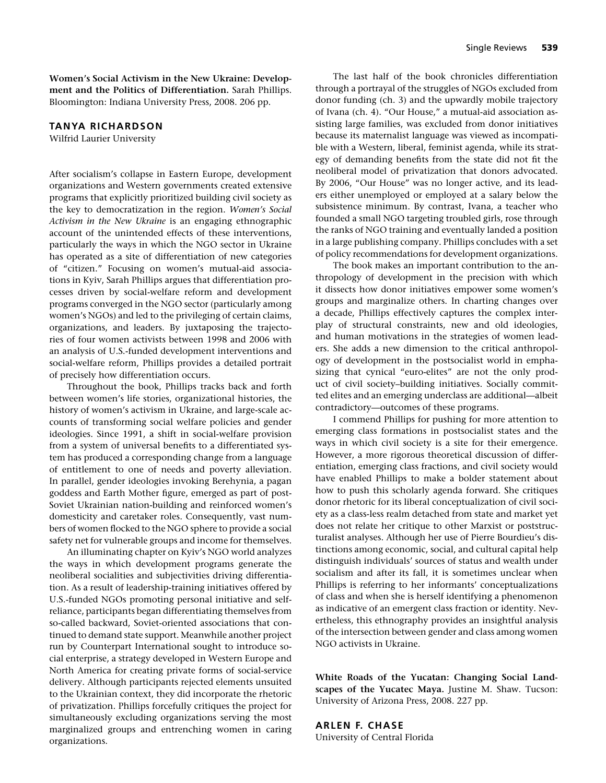**Women's Social Activism in the New Ukraine: Development and the Politics of Differentiation.** Sarah Phillips. Bloomington: Indiana University Press, 2008. 206 pp.

#### **TANYA RICHARDSON**

Wilfrid Laurier University

After socialism's collapse in Eastern Europe, development organizations and Western governments created extensive programs that explicitly prioritized building civil society as the key to democratization in the region. *Women's Social Activism in the New Ukraine* is an engaging ethnographic account of the unintended effects of these interventions, particularly the ways in which the NGO sector in Ukraine has operated as a site of differentiation of new categories of "citizen." Focusing on women's mutual-aid associations in Kyiv, Sarah Phillips argues that differentiation processes driven by social-welfare reform and development programs converged in the NGO sector (particularly among women's NGOs) and led to the privileging of certain claims, organizations, and leaders. By juxtaposing the trajectories of four women activists between 1998 and 2006 with an analysis of U.S.-funded development interventions and social-welfare reform, Phillips provides a detailed portrait of precisely how differentiation occurs.

Throughout the book, Phillips tracks back and forth between women's life stories, organizational histories, the history of women's activism in Ukraine, and large-scale accounts of transforming social welfare policies and gender ideologies. Since 1991, a shift in social-welfare provision from a system of universal benefits to a differentiated system has produced a corresponding change from a language of entitlement to one of needs and poverty alleviation. In parallel, gender ideologies invoking Berehynia, a pagan goddess and Earth Mother figure, emerged as part of post-Soviet Ukrainian nation-building and reinforced women's domesticity and caretaker roles. Consequently, vast numbers of women flocked to the NGO sphere to provide a social safety net for vulnerable groups and income for themselves.

An illuminating chapter on Kyiv's NGO world analyzes the ways in which development programs generate the neoliberal socialities and subjectivities driving differentiation. As a result of leadership-training initiatives offered by U.S.-funded NGOs promoting personal initiative and selfreliance, participants began differentiating themselves from so-called backward, Soviet-oriented associations that continued to demand state support. Meanwhile another project run by Counterpart International sought to introduce social enterprise, a strategy developed in Western Europe and North America for creating private forms of social-service delivery. Although participants rejected elements unsuited to the Ukrainian context, they did incorporate the rhetoric of privatization. Phillips forcefully critiques the project for simultaneously excluding organizations serving the most marginalized groups and entrenching women in caring organizations.

The last half of the book chronicles differentiation through a portrayal of the struggles of NGOs excluded from donor funding (ch. 3) and the upwardly mobile trajectory of Ivana (ch. 4). "Our House," a mutual-aid association assisting large families, was excluded from donor initiatives because its maternalist language was viewed as incompatible with a Western, liberal, feminist agenda, while its strategy of demanding benefits from the state did not fit the neoliberal model of privatization that donors advocated. By 2006, "Our House" was no longer active, and its leaders either unemployed or employed at a salary below the subsistence minimum. By contrast, Ivana, a teacher who founded a small NGO targeting troubled girls, rose through the ranks of NGO training and eventually landed a position in a large publishing company. Phillips concludes with a set of policy recommendations for development organizations.

The book makes an important contribution to the anthropology of development in the precision with which it dissects how donor initiatives empower some women's groups and marginalize others. In charting changes over a decade, Phillips effectively captures the complex interplay of structural constraints, new and old ideologies, and human motivations in the strategies of women leaders. She adds a new dimension to the critical anthropology of development in the postsocialist world in emphasizing that cynical "euro-elites" are not the only product of civil society–building initiatives. Socially committed elites and an emerging underclass are additional—albeit contradictory—outcomes of these programs.

I commend Phillips for pushing for more attention to emerging class formations in postsocialist states and the ways in which civil society is a site for their emergence. However, a more rigorous theoretical discussion of differentiation, emerging class fractions, and civil society would have enabled Phillips to make a bolder statement about how to push this scholarly agenda forward. She critiques donor rhetoric for its liberal conceptualization of civil society as a class-less realm detached from state and market yet does not relate her critique to other Marxist or poststructuralist analyses. Although her use of Pierre Bourdieu's distinctions among economic, social, and cultural capital help distinguish individuals' sources of status and wealth under socialism and after its fall, it is sometimes unclear when Phillips is referring to her informants' conceptualizations of class and when she is herself identifying a phenomenon as indicative of an emergent class fraction or identity. Nevertheless, this ethnography provides an insightful analysis of the intersection between gender and class among women NGO activists in Ukraine.

**White Roads of the Yucatan: Changing Social Landscapes of the Yucatec Maya.** Justine M. Shaw. Tucson: University of Arizona Press, 2008. 227 pp.

**ARLEN F. CHASE** University of Central Florida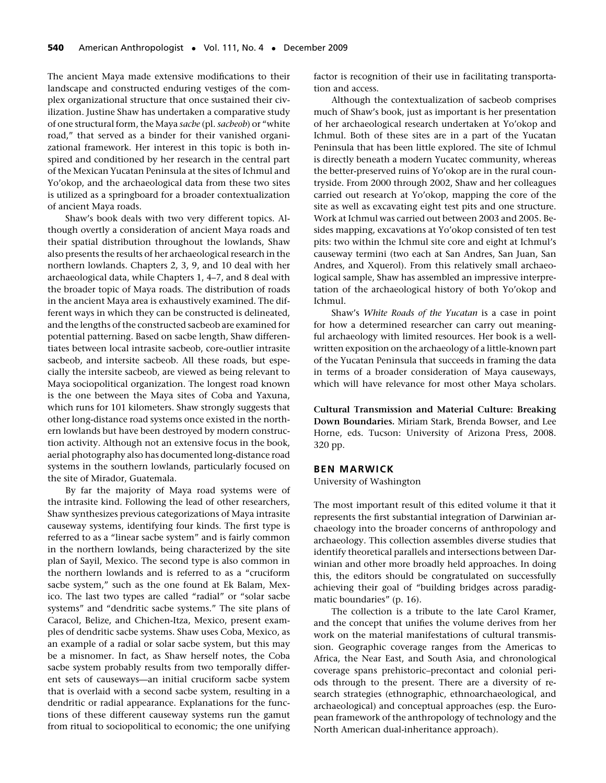The ancient Maya made extensive modifications to their landscape and constructed enduring vestiges of the complex organizational structure that once sustained their civilization. Justine Shaw has undertaken a comparative study of one structural form, the Maya *sacbe* (pl. *sacbeob*) or "white road," that served as a binder for their vanished organizational framework. Her interest in this topic is both inspired and conditioned by her research in the central part of the Mexican Yucatan Peninsula at the sites of Ichmul and Yo'okop, and the archaeological data from these two sites is utilized as a springboard for a broader contextualization of ancient Maya roads.

Shaw's book deals with two very different topics. Although overtly a consideration of ancient Maya roads and their spatial distribution throughout the lowlands, Shaw also presents the results of her archaeological research in the northern lowlands. Chapters 2, 3, 9, and 10 deal with her archaeological data, while Chapters 1, 4–7, and 8 deal with the broader topic of Maya roads. The distribution of roads in the ancient Maya area is exhaustively examined. The different ways in which they can be constructed is delineated, and the lengths of the constructed sacbeob are examined for potential patterning. Based on sacbe length, Shaw differentiates between local intrasite sacbeob, core-outlier intrasite sacbeob, and intersite sacbeob. All these roads, but especially the intersite sacbeob, are viewed as being relevant to Maya sociopolitical organization. The longest road known is the one between the Maya sites of Coba and Yaxuna, which runs for 101 kilometers. Shaw strongly suggests that other long-distance road systems once existed in the northern lowlands but have been destroyed by modern construction activity. Although not an extensive focus in the book, aerial photography also has documented long-distance road systems in the southern lowlands, particularly focused on the site of Mirador, Guatemala.

By far the majority of Maya road systems were of the intrasite kind. Following the lead of other researchers, Shaw synthesizes previous categorizations of Maya intrasite causeway systems, identifying four kinds. The first type is referred to as a "linear sacbe system" and is fairly common in the northern lowlands, being characterized by the site plan of Sayil, Mexico. The second type is also common in the northern lowlands and is referred to as a "cruciform sacbe system," such as the one found at Ek Balam, Mexico. The last two types are called "radial" or "solar sacbe systems" and "dendritic sacbe systems." The site plans of Caracol, Belize, and Chichen-Itza, Mexico, present examples of dendritic sacbe systems. Shaw uses Coba, Mexico, as an example of a radial or solar sacbe system, but this may be a misnomer. In fact, as Shaw herself notes, the Coba sacbe system probably results from two temporally different sets of causeways—an initial cruciform sacbe system that is overlaid with a second sacbe system, resulting in a dendritic or radial appearance. Explanations for the functions of these different causeway systems run the gamut from ritual to sociopolitical to economic; the one unifying factor is recognition of their use in facilitating transportation and access.

Although the contextualization of sacbeob comprises much of Shaw's book, just as important is her presentation of her archaeological research undertaken at Yo'okop and Ichmul. Both of these sites are in a part of the Yucatan Peninsula that has been little explored. The site of Ichmul is directly beneath a modern Yucatec community, whereas the better-preserved ruins of Yo'okop are in the rural countryside. From 2000 through 2002, Shaw and her colleagues carried out research at Yo'okop, mapping the core of the site as well as excavating eight test pits and one structure. Work at Ichmul was carried out between 2003 and 2005. Besides mapping, excavations at Yo'okop consisted of ten test pits: two within the Ichmul site core and eight at Ichmul's causeway termini (two each at San Andres, San Juan, San Andres, and Xquerol). From this relatively small archaeological sample, Shaw has assembled an impressive interpretation of the archaeological history of both Yo'okop and Ichmul.

Shaw's *White Roads of the Yucatan* is a case in point for how a determined researcher can carry out meaningful archaeology with limited resources. Her book is a wellwritten exposition on the archaeology of a little-known part of the Yucatan Peninsula that succeeds in framing the data in terms of a broader consideration of Maya causeways, which will have relevance for most other Maya scholars.

**Cultural Transmission and Material Culture: Breaking Down Boundaries.** Miriam Stark, Brenda Bowser, and Lee Horne, eds. Tucson: University of Arizona Press, 2008. 320 pp.

#### **BEN MARWICK**

University of Washington

The most important result of this edited volume it that it represents the first substantial integration of Darwinian archaeology into the broader concerns of anthropology and archaeology. This collection assembles diverse studies that identify theoretical parallels and intersections between Darwinian and other more broadly held approaches. In doing this, the editors should be congratulated on successfully achieving their goal of "building bridges across paradigmatic boundaries" (p. 16).

The collection is a tribute to the late Carol Kramer, and the concept that unifies the volume derives from her work on the material manifestations of cultural transmission. Geographic coverage ranges from the Americas to Africa, the Near East, and South Asia, and chronological coverage spans prehistoric–precontact and colonial periods through to the present. There are a diversity of research strategies (ethnographic, ethnoarchaeological, and archaeological) and conceptual approaches (esp. the European framework of the anthropology of technology and the North American dual-inheritance approach).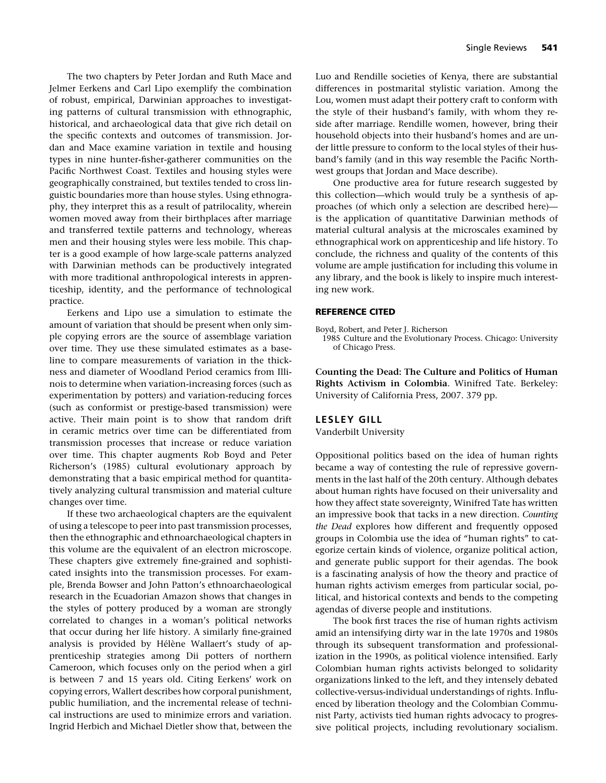The two chapters by Peter Jordan and Ruth Mace and Jelmer Eerkens and Carl Lipo exemplify the combination of robust, empirical, Darwinian approaches to investigating patterns of cultural transmission with ethnographic, historical, and archaeological data that give rich detail on the specific contexts and outcomes of transmission. Jordan and Mace examine variation in textile and housing types in nine hunter-fisher-gatherer communities on the Pacific Northwest Coast. Textiles and housing styles were geographically constrained, but textiles tended to cross linguistic boundaries more than house styles. Using ethnography, they interpret this as a result of patrilocality, wherein women moved away from their birthplaces after marriage and transferred textile patterns and technology, whereas men and their housing styles were less mobile. This chapter is a good example of how large-scale patterns analyzed with Darwinian methods can be productively integrated with more traditional anthropological interests in apprenticeship, identity, and the performance of technological practice.

Eerkens and Lipo use a simulation to estimate the amount of variation that should be present when only simple copying errors are the source of assemblage variation over time. They use these simulated estimates as a baseline to compare measurements of variation in the thickness and diameter of Woodland Period ceramics from Illinois to determine when variation-increasing forces (such as experimentation by potters) and variation-reducing forces (such as conformist or prestige-based transmission) were active. Their main point is to show that random drift in ceramic metrics over time can be differentiated from transmission processes that increase or reduce variation over time. This chapter augments Rob Boyd and Peter Richerson's (1985) cultural evolutionary approach by demonstrating that a basic empirical method for quantitatively analyzing cultural transmission and material culture changes over time.

If these two archaeological chapters are the equivalent of using a telescope to peer into past transmission processes, then the ethnographic and ethnoarchaeological chapters in this volume are the equivalent of an electron microscope. These chapters give extremely fine-grained and sophisticated insights into the transmission processes. For example, Brenda Bowser and John Patton's ethnoarchaeological research in the Ecuadorian Amazon shows that changes in the styles of pottery produced by a woman are strongly correlated to changes in a woman's political networks that occur during her life history. A similarly fine-grained analysis is provided by Hélène Wallaert's study of apprenticeship strategies among Dii potters of northern Cameroon, which focuses only on the period when a girl is between 7 and 15 years old. Citing Eerkens' work on copying errors, Wallert describes how corporal punishment, public humiliation, and the incremental release of technical instructions are used to minimize errors and variation. Ingrid Herbich and Michael Dietler show that, between the Luo and Rendille societies of Kenya, there are substantial differences in postmarital stylistic variation. Among the Lou, women must adapt their pottery craft to conform with the style of their husband's family, with whom they reside after marriage. Rendille women, however, bring their household objects into their husband's homes and are under little pressure to conform to the local styles of their husband's family (and in this way resemble the Pacific Northwest groups that Jordan and Mace describe).

One productive area for future research suggested by this collection—which would truly be a synthesis of approaches (of which only a selection are described here) is the application of quantitative Darwinian methods of material cultural analysis at the microscales examined by ethnographical work on apprenticeship and life history. To conclude, the richness and quality of the contents of this volume are ample justification for including this volume in any library, and the book is likely to inspire much interesting new work.

#### REFERENCE CITED

Boyd, Robert, and Peter J. Richerson

1985 Culture and the Evolutionary Process. Chicago: University of Chicago Press.

**Counting the Dead: The Culture and Politics of Human Rights Activism in Colombia**. Winifred Tate. Berkeley: University of California Press, 2007. 379 pp.

## **LESLEY GILL**

Vanderbilt University

Oppositional politics based on the idea of human rights became a way of contesting the rule of repressive governments in the last half of the 20th century. Although debates about human rights have focused on their universality and how they affect state sovereignty, Winifred Tate has written an impressive book that tacks in a new direction. *Counting the Dead* explores how different and frequently opposed groups in Colombia use the idea of "human rights" to categorize certain kinds of violence, organize political action, and generate public support for their agendas. The book is a fascinating analysis of how the theory and practice of human rights activism emerges from particular social, political, and historical contexts and bends to the competing agendas of diverse people and institutions.

The book first traces the rise of human rights activism amid an intensifying dirty war in the late 1970s and 1980s through its subsequent transformation and professionalization in the 1990s, as political violence intensified. Early Colombian human rights activists belonged to solidarity organizations linked to the left, and they intensely debated collective-versus-individual understandings of rights. Influenced by liberation theology and the Colombian Communist Party, activists tied human rights advocacy to progressive political projects, including revolutionary socialism.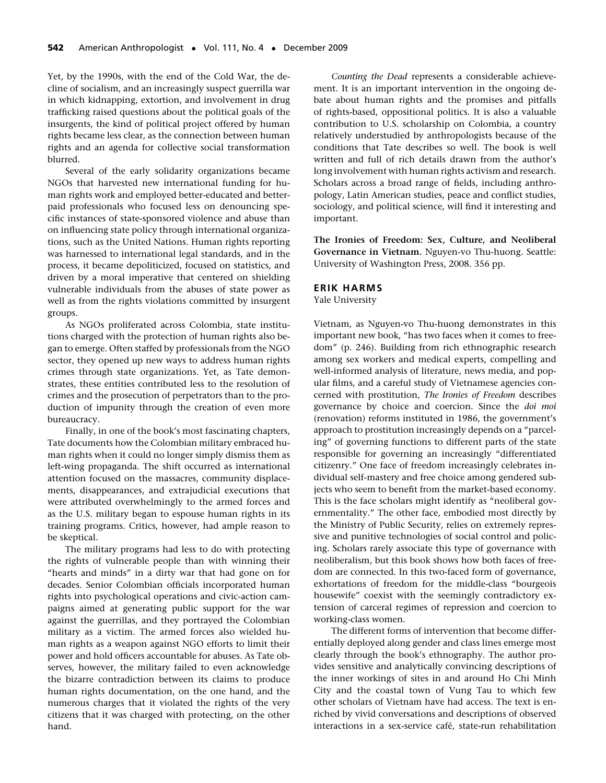Yet, by the 1990s, with the end of the Cold War, the decline of socialism, and an increasingly suspect guerrilla war in which kidnapping, extortion, and involvement in drug trafficking raised questions about the political goals of the insurgents, the kind of political project offered by human rights became less clear, as the connection between human rights and an agenda for collective social transformation blurred.

Several of the early solidarity organizations became NGOs that harvested new international funding for human rights work and employed better-educated and betterpaid professionals who focused less on denouncing specific instances of state-sponsored violence and abuse than on influencing state policy through international organizations, such as the United Nations. Human rights reporting was harnessed to international legal standards, and in the process, it became depoliticized, focused on statistics, and driven by a moral imperative that centered on shielding vulnerable individuals from the abuses of state power as well as from the rights violations committed by insurgent groups.

As NGOs proliferated across Colombia, state institutions charged with the protection of human rights also began to emerge. Often staffed by professionals from the NGO sector, they opened up new ways to address human rights crimes through state organizations. Yet, as Tate demonstrates, these entities contributed less to the resolution of crimes and the prosecution of perpetrators than to the production of impunity through the creation of even more bureaucracy.

Finally, in one of the book's most fascinating chapters, Tate documents how the Colombian military embraced human rights when it could no longer simply dismiss them as left-wing propaganda. The shift occurred as international attention focused on the massacres, community displacements, disappearances, and extrajudicial executions that were attributed overwhelmingly to the armed forces and as the U.S. military began to espouse human rights in its training programs. Critics, however, had ample reason to be skeptical.

The military programs had less to do with protecting the rights of vulnerable people than with winning their "hearts and minds" in a dirty war that had gone on for decades. Senior Colombian officials incorporated human rights into psychological operations and civic-action campaigns aimed at generating public support for the war against the guerrillas, and they portrayed the Colombian military as a victim. The armed forces also wielded human rights as a weapon against NGO efforts to limit their power and hold officers accountable for abuses. As Tate observes, however, the military failed to even acknowledge the bizarre contradiction between its claims to produce human rights documentation, on the one hand, and the numerous charges that it violated the rights of the very citizens that it was charged with protecting, on the other hand.

*Counting the Dead* represents a considerable achievement. It is an important intervention in the ongoing debate about human rights and the promises and pitfalls of rights-based, oppositional politics. It is also a valuable contribution to U.S. scholarship on Colombia, a country relatively understudied by anthropologists because of the conditions that Tate describes so well. The book is well written and full of rich details drawn from the author's long involvement with human rights activism and research. Scholars across a broad range of fields, including anthropology, Latin American studies, peace and conflict studies, sociology, and political science, will find it interesting and important.

**The Ironies of Freedom: Sex, Culture, and Neoliberal Governance in Vietnam.** Nguyen-vo Thu-huong. Seattle: University of Washington Press, 2008. 356 pp.

## **ERIK HARMS**

Yale University

Vietnam, as Nguyen-vo Thu-huong demonstrates in this important new book, "has two faces when it comes to freedom" (p. 246). Building from rich ethnographic research among sex workers and medical experts, compelling and well-informed analysis of literature, news media, and popular films, and a careful study of Vietnamese agencies concerned with prostitution, *The Ironies of Freedom* describes governance by choice and coercion. Since the *doi moi* (renovation) reforms instituted in 1986, the government's approach to prostitution increasingly depends on a "parceling" of governing functions to different parts of the state responsible for governing an increasingly "differentiated citizenry." One face of freedom increasingly celebrates individual self-mastery and free choice among gendered subjects who seem to benefit from the market-based economy. This is the face scholars might identify as "neoliberal governmentality." The other face, embodied most directly by the Ministry of Public Security, relies on extremely repressive and punitive technologies of social control and policing. Scholars rarely associate this type of governance with neoliberalism, but this book shows how both faces of freedom are connected. In this two-faced form of governance, exhortations of freedom for the middle-class "bourgeois housewife" coexist with the seemingly contradictory extension of carceral regimes of repression and coercion to working-class women.

The different forms of intervention that become differentially deployed along gender and class lines emerge most clearly through the book's ethnography. The author provides sensitive and analytically convincing descriptions of the inner workings of sites in and around Ho Chi Minh City and the coastal town of Vung Tau to which few other scholars of Vietnam have had access. The text is enriched by vivid conversations and descriptions of observed interactions in a sex-service café, state-run rehabilitation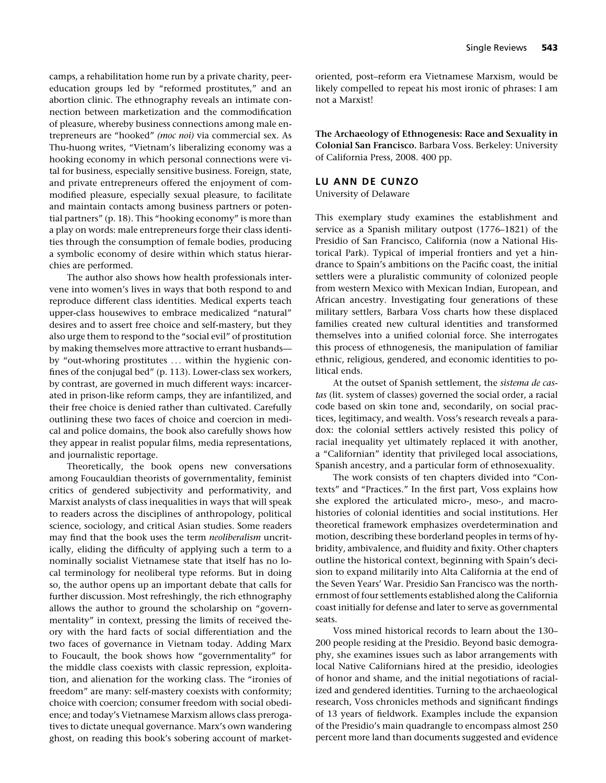camps, a rehabilitation home run by a private charity, peereducation groups led by "reformed prostitutes," and an abortion clinic. The ethnography reveals an intimate connection between marketization and the commodification of pleasure, whereby business connections among male entrepreneurs are "hooked" *(moc noi)* via commercial sex. As Thu-huong writes, "Vietnam's liberalizing economy was a hooking economy in which personal connections were vital for business, especially sensitive business. Foreign, state, and private entrepreneurs offered the enjoyment of commodified pleasure, especially sexual pleasure, to facilitate and maintain contacts among business partners or potential partners" (p. 18). This "hooking economy" is more than a play on words: male entrepreneurs forge their class identities through the consumption of female bodies, producing a symbolic economy of desire within which status hierarchies are performed.

The author also shows how health professionals intervene into women's lives in ways that both respond to and reproduce different class identities. Medical experts teach upper-class housewives to embrace medicalized "natural" desires and to assert free choice and self-mastery, but they also urge them to respond to the "social evil" of prostitution by making themselves more attractive to errant husbands by "out-whoring prostitutes ... within the hygienic confines of the conjugal bed" (p. 113). Lower-class sex workers, by contrast, are governed in much different ways: incarcerated in prison-like reform camps, they are infantilized, and their free choice is denied rather than cultivated. Carefully outlining these two faces of choice and coercion in medical and police domains, the book also carefully shows how they appear in realist popular films, media representations, and journalistic reportage.

Theoretically, the book opens new conversations among Foucauldian theorists of governmentality, feminist critics of gendered subjectivity and performativity, and Marxist analysts of class inequalities in ways that will speak to readers across the disciplines of anthropology, political science, sociology, and critical Asian studies. Some readers may find that the book uses the term *neoliberalism* uncritically, eliding the difficulty of applying such a term to a nominally socialist Vietnamese state that itself has no local terminology for neoliberal type reforms. But in doing so, the author opens up an important debate that calls for further discussion. Most refreshingly, the rich ethnography allows the author to ground the scholarship on "governmentality" in context, pressing the limits of received theory with the hard facts of social differentiation and the two faces of governance in Vietnam today. Adding Marx to Foucault, the book shows how "governmentality" for the middle class coexists with classic repression, exploitation, and alienation for the working class. The "ironies of freedom" are many: self-mastery coexists with conformity; choice with coercion; consumer freedom with social obedience; and today's Vietnamese Marxism allows class prerogatives to dictate unequal governance. Marx's own wandering ghost, on reading this book's sobering account of marketoriented, post–reform era Vietnamese Marxism, would be likely compelled to repeat his most ironic of phrases: I am not a Marxist!

**The Archaeology of Ethnogenesis: Race and Sexuality in Colonial San Francisco.** Barbara Voss. Berkeley: University of California Press, 2008. 400 pp.

## **LU ANN DE CUNZO**

University of Delaware

This exemplary study examines the establishment and service as a Spanish military outpost (1776–1821) of the Presidio of San Francisco, California (now a National Historical Park). Typical of imperial frontiers and yet a hindrance to Spain's ambitions on the Pacific coast, the initial settlers were a pluralistic community of colonized people from western Mexico with Mexican Indian, European, and African ancestry. Investigating four generations of these military settlers, Barbara Voss charts how these displaced families created new cultural identities and transformed themselves into a unified colonial force. She interrogates this process of ethnogenesis, the manipulation of familiar ethnic, religious, gendered, and economic identities to political ends.

At the outset of Spanish settlement, the *sistema de castas* (lit. system of classes) governed the social order, a racial code based on skin tone and, secondarily, on social practices, legitimacy, and wealth. Voss's research reveals a paradox: the colonial settlers actively resisted this policy of racial inequality yet ultimately replaced it with another, a "Californian" identity that privileged local associations, Spanish ancestry, and a particular form of ethnosexuality.

The work consists of ten chapters divided into "Contexts" and "Practices." In the first part, Voss explains how she explored the articulated micro-, meso-, and macrohistories of colonial identities and social institutions. Her theoretical framework emphasizes overdetermination and motion, describing these borderland peoples in terms of hybridity, ambivalence, and fluidity and fixity. Other chapters outline the historical context, beginning with Spain's decision to expand militarily into Alta California at the end of the Seven Years' War. Presidio San Francisco was the northernmost of four settlements established along the California coast initially for defense and later to serve as governmental seats.

Voss mined historical records to learn about the 130– 200 people residing at the Presidio. Beyond basic demography, she examines issues such as labor arrangements with local Native Californians hired at the presidio, ideologies of honor and shame, and the initial negotiations of racialized and gendered identities. Turning to the archaeological research, Voss chronicles methods and significant findings of 13 years of fieldwork. Examples include the expansion of the Presidio's main quadrangle to encompass almost 250 percent more land than documents suggested and evidence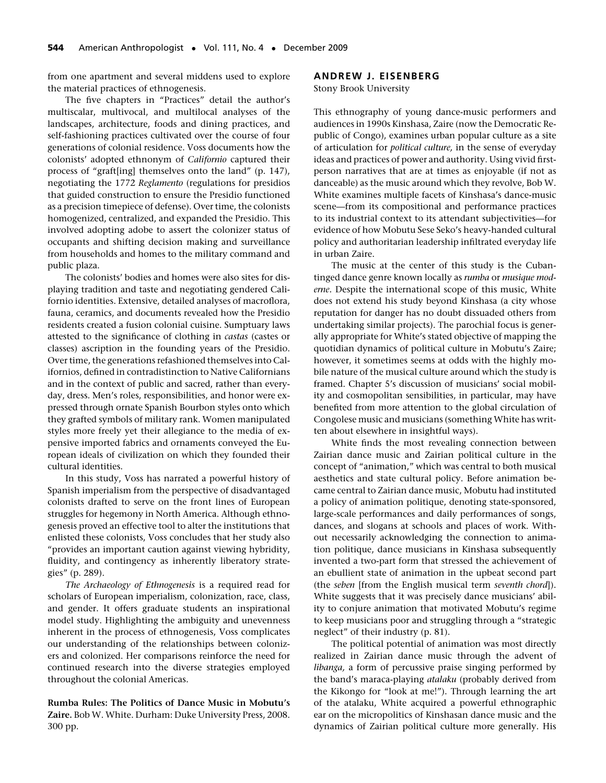from one apartment and several middens used to explore the material practices of ethnogenesis.

The five chapters in "Practices" detail the author's multiscalar, multivocal, and multilocal analyses of the landscapes, architecture, foods and dining practices, and self-fashioning practices cultivated over the course of four generations of colonial residence. Voss documents how the colonists' adopted ethnonym of *Californio* captured their process of "graft[ing] themselves onto the land" (p. 147), negotiating the 1772 *Reglamento* (regulations for presidios that guided construction to ensure the Presidio functioned as a precision timepiece of defense). Over time, the colonists homogenized, centralized, and expanded the Presidio. This involved adopting adobe to assert the colonizer status of occupants and shifting decision making and surveillance from households and homes to the military command and public plaza.

The colonists' bodies and homes were also sites for displaying tradition and taste and negotiating gendered Californio identities. Extensive, detailed analyses of macroflora, fauna, ceramics, and documents revealed how the Presidio residents created a fusion colonial cuisine. Sumptuary laws attested to the significance of clothing in *castas* (castes or classes) ascription in the founding years of the Presidio. Over time, the generations refashioned themselves into Californios, defined in contradistinction to Native Californians and in the context of public and sacred, rather than everyday, dress. Men's roles, responsibilities, and honor were expressed through ornate Spanish Bourbon styles onto which they grafted symbols of military rank. Women manipulated styles more freely yet their allegiance to the media of expensive imported fabrics and ornaments conveyed the European ideals of civilization on which they founded their cultural identities.

In this study, Voss has narrated a powerful history of Spanish imperialism from the perspective of disadvantaged colonists drafted to serve on the front lines of European struggles for hegemony in North America. Although ethnogenesis proved an effective tool to alter the institutions that enlisted these colonists, Voss concludes that her study also "provides an important caution against viewing hybridity, fluidity, and contingency as inherently liberatory strategies" (p. 289).

*The Archaeology of Ethnogenesis* is a required read for scholars of European imperialism, colonization, race, class, and gender. It offers graduate students an inspirational model study. Highlighting the ambiguity and unevenness inherent in the process of ethnogenesis, Voss complicates our understanding of the relationships between colonizers and colonized. Her comparisons reinforce the need for continued research into the diverse strategies employed throughout the colonial Americas.

**Rumba Rules: The Politics of Dance Music in Mobutu's Zaire.** Bob W. White. Durham: Duke University Press, 2008. 300 pp.

# **ANDREW J. EISENBERG**

Stony Brook University

This ethnography of young dance-music performers and audiences in 1990s Kinshasa, Zaire (now the Democratic Republic of Congo), examines urban popular culture as a site of articulation for *political culture,* in the sense of everyday ideas and practices of power and authority. Using vivid firstperson narratives that are at times as enjoyable (if not as danceable) as the music around which they revolve, Bob W. White examines multiple facets of Kinshasa's dance-music scene—from its compositional and performance practices to its industrial context to its attendant subjectivities—for evidence of how Mobutu Sese Seko's heavy-handed cultural policy and authoritarian leadership infiltrated everyday life in urban Zaire.

The music at the center of this study is the Cubantinged dance genre known locally as *rumba* or *musique moderne.* Despite the international scope of this music, White does not extend his study beyond Kinshasa (a city whose reputation for danger has no doubt dissuaded others from undertaking similar projects). The parochial focus is generally appropriate for White's stated objective of mapping the quotidian dynamics of political culture in Mobutu's Zaire; however, it sometimes seems at odds with the highly mobile nature of the musical culture around which the study is framed. Chapter 5's discussion of musicians' social mobility and cosmopolitan sensibilities, in particular, may have benefited from more attention to the global circulation of Congolese music and musicians (something White has written about elsewhere in insightful ways).

White finds the most revealing connection between Zairian dance music and Zairian political culture in the concept of "animation," which was central to both musical aesthetics and state cultural policy. Before animation became central to Zairian dance music, Mobutu had instituted a policy of animation politique, denoting state-sponsored, large-scale performances and daily performances of songs, dances, and slogans at schools and places of work. Without necessarily acknowledging the connection to animation politique, dance musicians in Kinshasa subsequently invented a two-part form that stressed the achievement of an ebullient state of animation in the upbeat second part (the *seben* [from the English musical term *seventh chord*]). White suggests that it was precisely dance musicians' ability to conjure animation that motivated Mobutu's regime to keep musicians poor and struggling through a "strategic neglect" of their industry (p. 81).

The political potential of animation was most directly realized in Zairian dance music through the advent of *libanga,* a form of percussive praise singing performed by the band's maraca-playing *atalaku* (probably derived from the Kikongo for "look at me!"). Through learning the art of the atalaku, White acquired a powerful ethnographic ear on the micropolitics of Kinshasan dance music and the dynamics of Zairian political culture more generally. His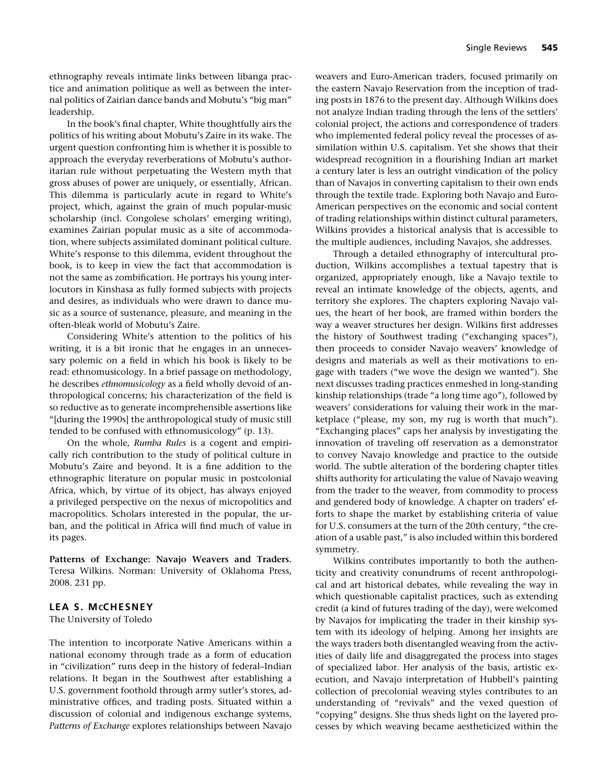ethnography reveals intimate links between libanga practice and animation politique as well as between the internal politics of Zairian dance bands and Mobutu's "big man" leadership.

In the book's final chapter, White thoughtfully airs the politics of his writing about Mobutu's Zaire in its wake. The urgent question confronting him is whether it is possible to approach the everyday reverberations of Mobutu's authoritarian rule without perpetuating the Western myth that gross abuses of power are uniquely, or essentially, African. This dilemma is particularly acute in regard to White's project, which, against the grain of much popular-music scholarship (incl. Congolese scholars' emerging writing), examines Zairian popular music as a site of accommodation, where subjects assimilated dominant political culture. White's response to this dilemma, evident throughout the book, is to keep in view the fact that accommodation is not the same as zombification. He portrays his young interlocutors in Kinshasa as fully formed subjects with projects and desires, as individuals who were drawn to dance music as a source of sustenance, pleasure, and meaning in the often-bleak world of Mobutu's Zaire.

Considering White's attention to the politics of his writing, it is a bit ironic that he engages in an unnecessary polemic on a field in which his book is likely to be read: ethnomusicology. In a brief passage on methodology, he describes *ethnomusicology* as a field wholly devoid of anthropological concerns; his characterization of the field is so reductive as to generate incomprehensible assertions like "[during the 1990s] the anthropological study of music still tended to be confused with ethnomusicology" (p. 13).

On the whole, *Rumba Rules* is a cogent and empirically rich contribution to the study of political culture in Mobutu's Zaire and beyond. It is a fine addition to the ethnographic literature on popular music in postcolonial Africa, which, by virtue of its object, has always enjoyed a privileged perspective on the nexus of micropolitics and macropolitics. Scholars interested in the popular, the urban, and the political in Africa will find much of value in its pages.

**Patterns of Exchange: Navajo Weavers and Traders.** Teresa Wilkins. Norman: University of Oklahoma Press, 2008. 231 pp.

#### **LEA S. MCCHESNEY**

The University of Toledo

The intention to incorporate Native Americans within a national economy through trade as a form of education in "civilization" runs deep in the history of federal–Indian relations. It began in the Southwest after establishing a U.S. government foothold through army sutler's stores, administrative offices, and trading posts. Situated within a discussion of colonial and indigenous exchange systems, *Patterns of Exchange* explores relationships between Navajo weavers and Euro-American traders, focused primarily on the eastern Navajo Reservation from the inception of trading posts in 1876 to the present day. Although Wilkins does not analyze Indian trading through the lens of the settlers' colonial project, the actions and correspondence of traders who implemented federal policy reveal the processes of assimilation within U.S. capitalism. Yet she shows that their widespread recognition in a flourishing Indian art market a century later is less an outright vindication of the policy than of Navajos in converting capitalism to their own ends through the textile trade. Exploring both Navajo and Euro-American perspectives on the economic and social content of trading relationships within distinct cultural parameters, Wilkins provides a historical analysis that is accessible to the multiple audiences, including Navajos, she addresses.

Through a detailed ethnography of intercultural production, Wilkins accomplishes a textual tapestry that is organized, appropriately enough, like a Navajo textile to reveal an intimate knowledge of the objects, agents, and territory she explores. The chapters exploring Navajo values, the heart of her book, are framed within borders the way a weaver structures her design. Wilkins first addresses the history of Southwest trading ("exchanging spaces"), then proceeds to consider Navajo weavers' knowledge of designs and materials as well as their motivations to engage with traders ("we wove the design we wanted"). She next discusses trading practices enmeshed in long-standing kinship relationships (trade "a long time ago"), followed by weavers' considerations for valuing their work in the marketplace ("please, my son, my rug is worth that much"). "Exchanging places" caps her analysis by investigating the innovation of traveling off reservation as a demonstrator to convey Navajo knowledge and practice to the outside world. The subtle alteration of the bordering chapter titles shifts authority for articulating the value of Navajo weaving from the trader to the weaver, from commodity to process and gendered body of knowledge. A chapter on traders' efforts to shape the market by establishing criteria of value for U.S. consumers at the turn of the 20th century, "the creation of a usable past," is also included within this bordered symmetry.

Wilkins contributes importantly to both the authenticity and creativity conundrums of recent anthropological and art historical debates, while revealing the way in which questionable capitalist practices, such as extending credit (a kind of futures trading of the day), were welcomed by Navajos for implicating the trader in their kinship system with its ideology of helping. Among her insights are the ways traders both disentangled weaving from the activities of daily life and disaggregated the process into stages of specialized labor. Her analysis of the basis, artistic execution, and Navajo interpretation of Hubbell's painting collection of precolonial weaving styles contributes to an understanding of "revivals" and the vexed question of "copying" designs. She thus sheds light on the layered processes by which weaving became aestheticized within the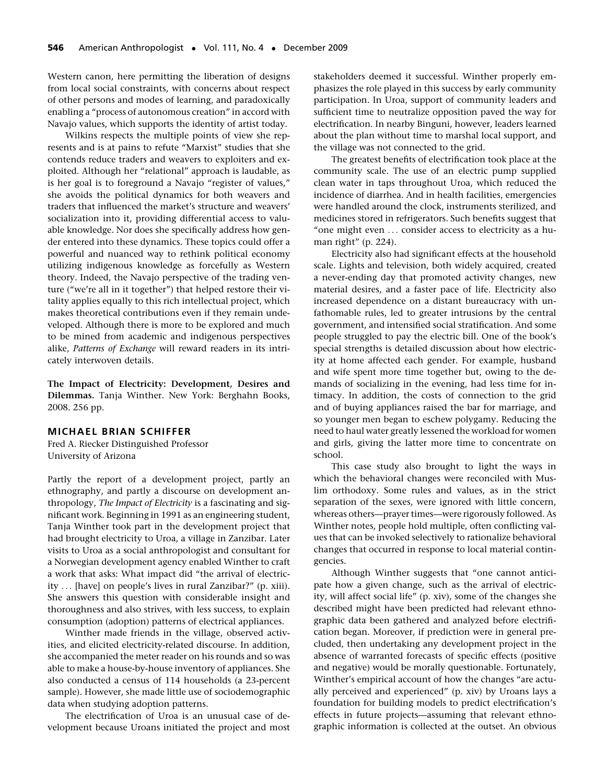Western canon, here permitting the liberation of designs from local social constraints, with concerns about respect of other persons and modes of learning, and paradoxically enabling a "process of autonomous creation" in accord with Navajo values, which supports the identity of artist today.

Wilkins respects the multiple points of view she represents and is at pains to refute "Marxist" studies that she contends reduce traders and weavers to exploiters and exploited. Although her "relational" approach is laudable, as is her goal is to foreground a Navajo "register of values," she avoids the political dynamics for both weavers and traders that influenced the market's structure and weavers' socialization into it, providing differential access to valuable knowledge. Nor does she specifically address how gender entered into these dynamics. These topics could offer a powerful and nuanced way to rethink political economy utilizing indigenous knowledge as forcefully as Western theory. Indeed, the Navajo perspective of the trading venture ("we're all in it together") that helped restore their vitality applies equally to this rich intellectual project, which makes theoretical contributions even if they remain undeveloped. Although there is more to be explored and much to be mined from academic and indigenous perspectives alike, *Patterns of Exchange* will reward readers in its intricately interwoven details.

**The Impact of Electricity: Development, Desires and Dilemmas.** Tanja Winther. New York: Berghahn Books, 2008. 256 pp.

## **MICHAEL BRIAN SCHIFFER**

Fred A. Riecker Distinguished Professor University of Arizona

Partly the report of a development project, partly an ethnography, and partly a discourse on development anthropology, *The Impact of Electricity* is a fascinating and significant work. Beginning in 1991 as an engineering student, Tanja Winther took part in the development project that had brought electricity to Uroa, a village in Zanzibar. Later visits to Uroa as a social anthropologist and consultant for a Norwegian development agency enabled Winther to craft a work that asks: What impact did "the arrival of electricity ... [have] on people's lives in rural Zanzibar?" (p. xiii). She answers this question with considerable insight and thoroughness and also strives, with less success, to explain consumption (adoption) patterns of electrical appliances.

Winther made friends in the village, observed activities, and elicited electricity-related discourse. In addition, she accompanied the meter reader on his rounds and so was able to make a house-by-house inventory of appliances. She also conducted a census of 114 households (a 23-percent sample). However, she made little use of sociodemographic data when studying adoption patterns.

The electrification of Uroa is an unusual case of development because Uroans initiated the project and most

stakeholders deemed it successful. Winther properly emphasizes the role played in this success by early community participation. In Uroa, support of community leaders and sufficient time to neutralize opposition paved the way for electrification. In nearby Binguni, however, leaders learned about the plan without time to marshal local support, and the village was not connected to the grid.

The greatest benefits of electrification took place at the community scale. The use of an electric pump supplied clean water in taps throughout Uroa, which reduced the incidence of diarrhea. And in health facilities, emergencies were handled around the clock, instruments sterilized, and medicines stored in refrigerators. Such benefits suggest that "one might even ... consider access to electricity as a human right" (p. 224).

Electricity also had significant effects at the household scale. Lights and television, both widely acquired, created a never-ending day that promoted activity changes, new material desires, and a faster pace of life. Electricity also increased dependence on a distant bureaucracy with unfathomable rules, led to greater intrusions by the central government, and intensified social stratification. And some people struggled to pay the electric bill. One of the book's special strengths is detailed discussion about how electricity at home affected each gender. For example, husband and wife spent more time together but, owing to the demands of socializing in the evening, had less time for intimacy. In addition, the costs of connection to the grid and of buying appliances raised the bar for marriage, and so younger men began to eschew polygamy. Reducing the need to haul water greatly lessened the workload for women and girls, giving the latter more time to concentrate on school.

This case study also brought to light the ways in which the behavioral changes were reconciled with Muslim orthodoxy. Some rules and values, as in the strict separation of the sexes, were ignored with little concern, whereas others—prayer times—were rigorously followed. As Winther notes, people hold multiple, often conflicting values that can be invoked selectively to rationalize behavioral changes that occurred in response to local material contingencies.

Although Winther suggests that "one cannot anticipate how a given change, such as the arrival of electricity, will affect social life" (p. xiv), some of the changes she described might have been predicted had relevant ethnographic data been gathered and analyzed before electrification began. Moreover, if prediction were in general precluded, then undertaking any development project in the absence of warranted forecasts of specific effects (positive and negative) would be morally questionable. Fortunately, Winther's empirical account of how the changes "are actually perceived and experienced" (p. xiv) by Uroans lays a foundation for building models to predict electrification's effects in future projects—assuming that relevant ethnographic information is collected at the outset. An obvious